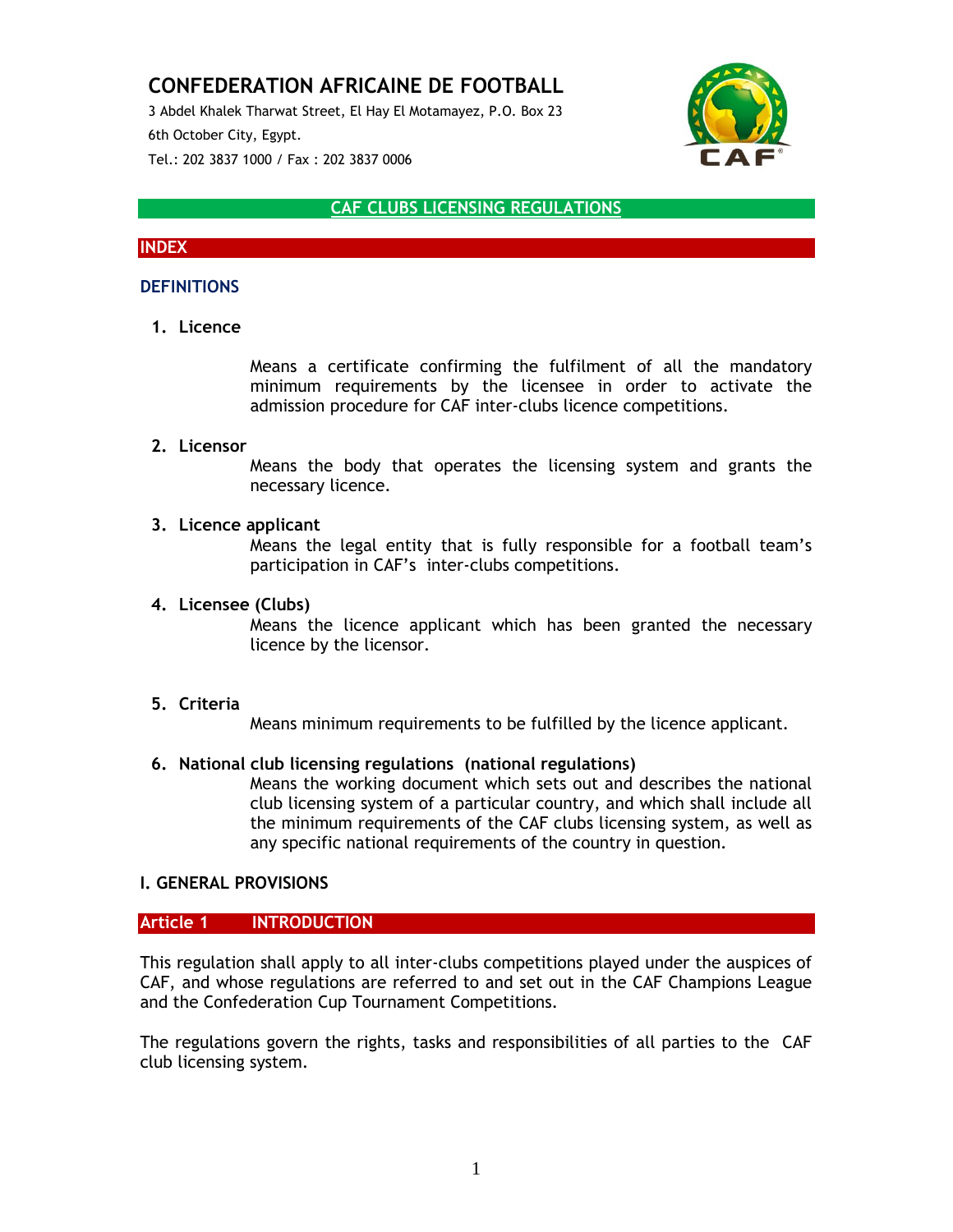3 Abdel Khalek Tharwat Street, El Hay El Motamayez, P.O. Box 23 6th October City, Egypt. Tel.: 202 3837 1000 / Fax : 202 3837 0006



### **CAF CLUBS LICENSING REGULATIONS**

### **INDEX**

### **DEFINITIONS**

**1. Licence**

Means a certificate confirming the fulfilment of all the mandatory minimum requirements by the licensee in order to activate the admission procedure for CAF inter-clubs licence competitions.

#### **2. Licensor**

Means the body that operates the licensing system and grants the necessary licence.

#### **3. Licence applicant**

Means the legal entity that is fully responsible for a football team's participation in CAF's inter-clubs competitions.

#### **4. Licensee (Clubs)**

Means the licence applicant which has been granted the necessary licence by the licensor.

#### **5. Criteria**

Means minimum requirements to be fulfilled by the licence applicant.

#### **6. National club licensing regulations (national regulations)**

Means the working document which sets out and describes the national club licensing system of a particular country, and which shall include all the minimum requirements of the CAF clubs licensing system, as well as any specific national requirements of the country in question.

#### **I. GENERAL PROVISIONS**

#### **Article 1 INTRODUCTION**

This regulation shall apply to all inter-clubs competitions played under the auspices of CAF, and whose regulations are referred to and set out in the CAF Champions League and the Confederation Cup Tournament Competitions.

The regulations govern the rights, tasks and responsibilities of all parties to the CAF club licensing system.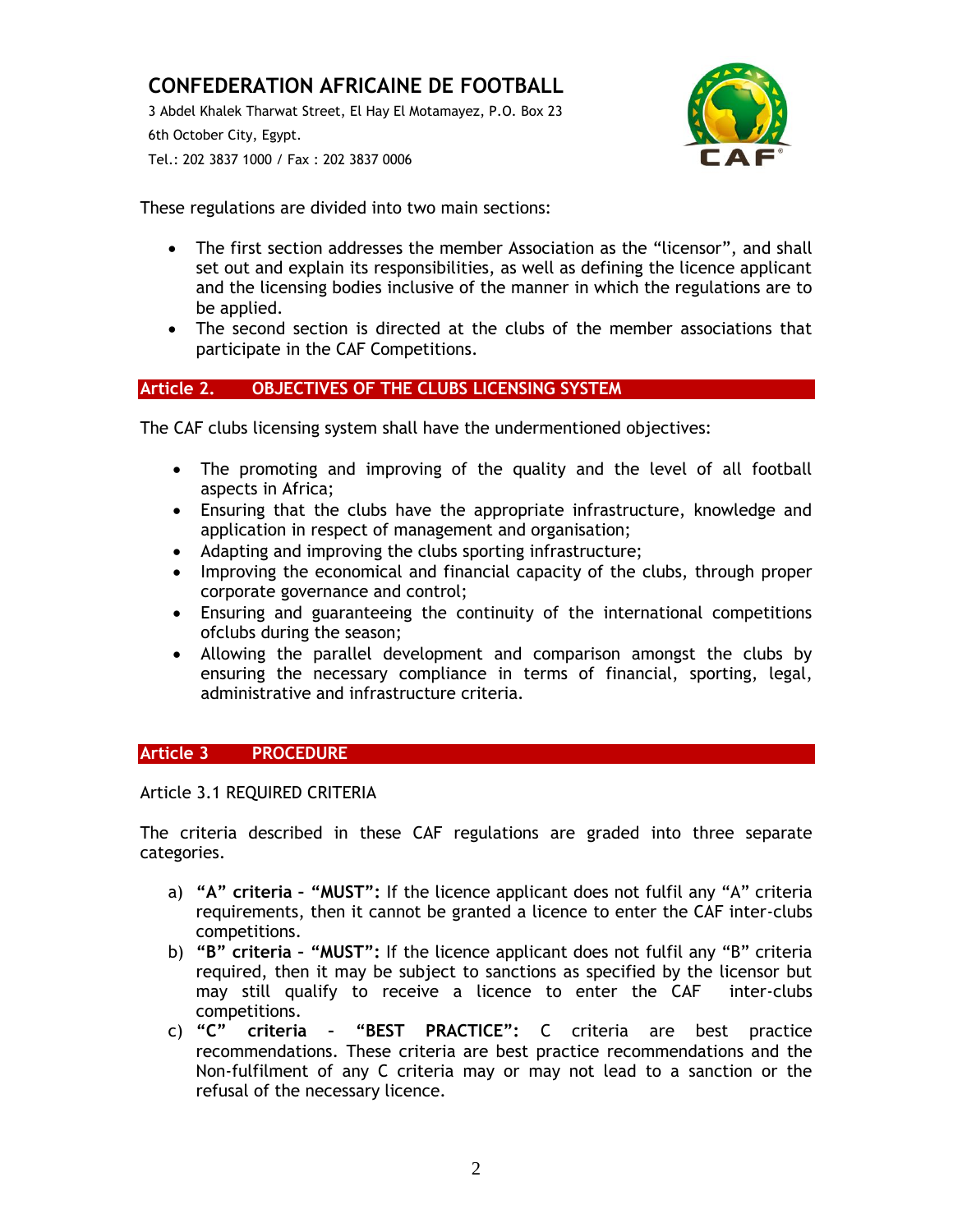3 Abdel Khalek Tharwat Street, El Hay El Motamayez, P.O. Box 23 6th October City, Egypt. Tel.: 202 3837 1000 / Fax : 202 3837 0006



These regulations are divided into two main sections:

- The first section addresses the member Association as the "licensor", and shall set out and explain its responsibilities, as well as defining the licence applicant and the licensing bodies inclusive of the manner in which the regulations are to be applied.
- The second section is directed at the clubs of the member associations that participate in the CAF Competitions.

## **Article 2. OBJECTIVES OF THE CLUBS LICENSING SYSTEM**

The CAF clubs licensing system shall have the undermentioned objectives:

- The promoting and improving of the quality and the level of all football aspects in Africa;
- Ensuring that the clubs have the appropriate infrastructure, knowledge and application in respect of management and organisation;
- Adapting and improving the clubs sporting infrastructure;
- Improving the economical and financial capacity of the clubs, through proper corporate governance and control;
- Ensuring and guaranteeing the continuity of the international competitions ofclubs during the season;
- Allowing the parallel development and comparison amongst the clubs by ensuring the necessary compliance in terms of financial, sporting, legal, administrative and infrastructure criteria.

### **Article 3 PROCEDURE**

Article 3.1 REQUIRED CRITERIA

The criteria described in these CAF regulations are graded into three separate categories.

- a) **"A" criteria – "MUST":** If the licence applicant does not fulfil any "A" criteria requirements, then it cannot be granted a licence to enter the CAF inter-clubs competitions.
- b) **"B" criteria – "MUST":** If the licence applicant does not fulfil any "B" criteria required, then it may be subject to sanctions as specified by the licensor but may still qualify to receive a licence to enter the CAF inter-clubs competitions.
- c) **"C" criteria – "BEST PRACTICE":** C criteria are best practice recommendations. These criteria are best practice recommendations and the Non-fulfilment of any C criteria may or may not lead to a sanction or the refusal of the necessary licence.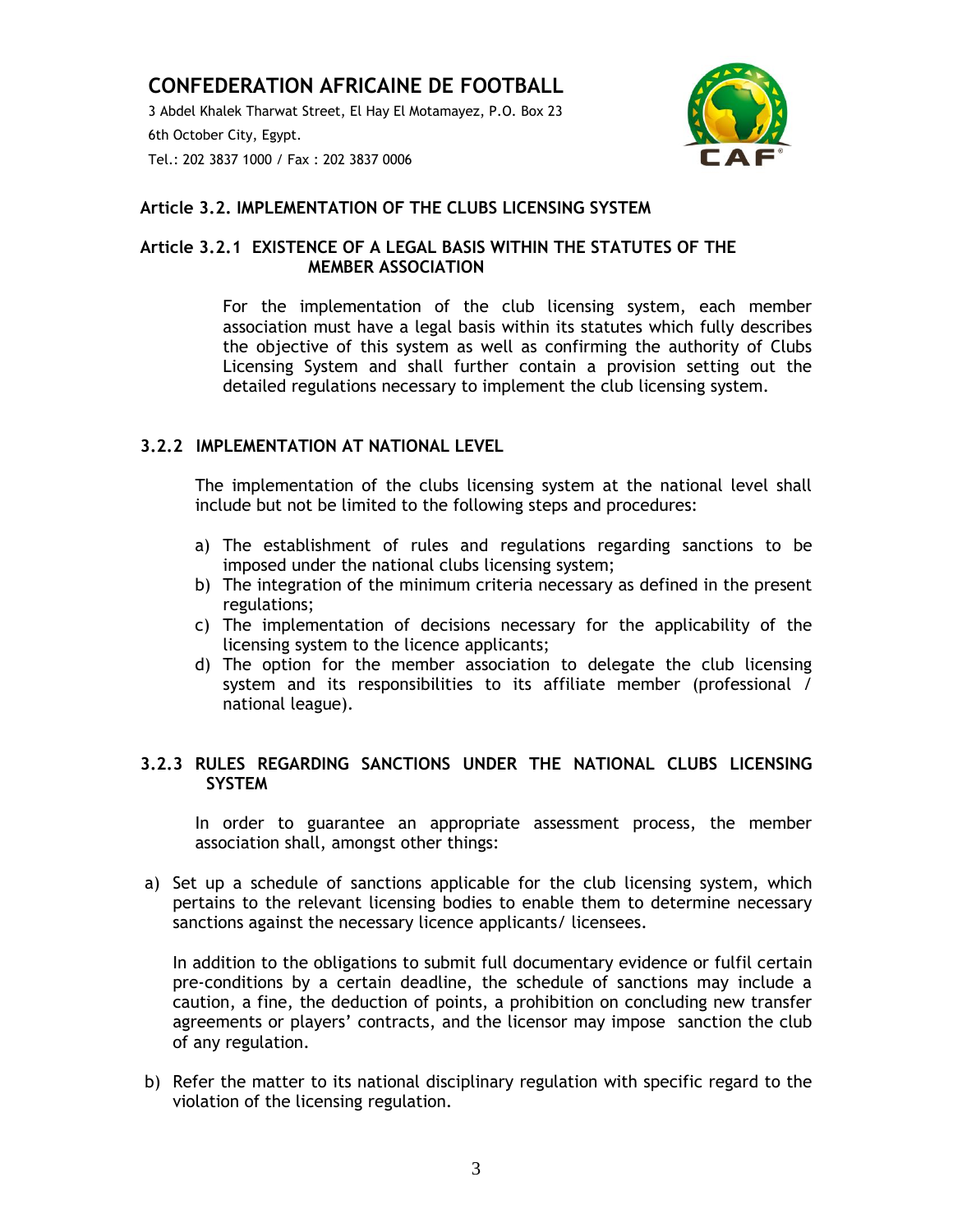3 Abdel Khalek Tharwat Street, El Hay El Motamayez, P.O. Box 23 6th October City, Egypt. Tel.: 202 3837 1000 / Fax : 202 3837 0006



## **Article 3.2. IMPLEMENTATION OF THE CLUBS LICENSING SYSTEM**

## **Article 3.2.1 EXISTENCE OF A LEGAL BASIS WITHIN THE STATUTES OF THE MEMBER ASSOCIATION**

For the implementation of the club licensing system, each member association must have a legal basis within its statutes which fully describes the objective of this system as well as confirming the authority of Clubs Licensing System and shall further contain a provision setting out the detailed regulations necessary to implement the club licensing system.

## **3.2.2 IMPLEMENTATION AT NATIONAL LEVEL**

The implementation of the clubs licensing system at the national level shall include but not be limited to the following steps and procedures:

- a) The establishment of rules and regulations regarding sanctions to be imposed under the national clubs licensing system;
- b) The integration of the minimum criteria necessary as defined in the present regulations;
- c) The implementation of decisions necessary for the applicability of the licensing system to the licence applicants;
- d) The option for the member association to delegate the club licensing system and its responsibilities to its affiliate member (professional / national league).

## **3.2.3 RULES REGARDING SANCTIONS UNDER THE NATIONAL CLUBS LICENSING SYSTEM**

In order to guarantee an appropriate assessment process, the member association shall, amongst other things:

a) Set up a schedule of sanctions applicable for the club licensing system, which pertains to the relevant licensing bodies to enable them to determine necessary sanctions against the necessary licence applicants/ licensees.

In addition to the obligations to submit full documentary evidence or fulfil certain pre-conditions by a certain deadline, the schedule of sanctions may include a caution, a fine, the deduction of points, a prohibition on concluding new transfer agreements or players' contracts, and the licensor may impose sanction the club of any regulation.

b) Refer the matter to its national disciplinary regulation with specific regard to the violation of the licensing regulation.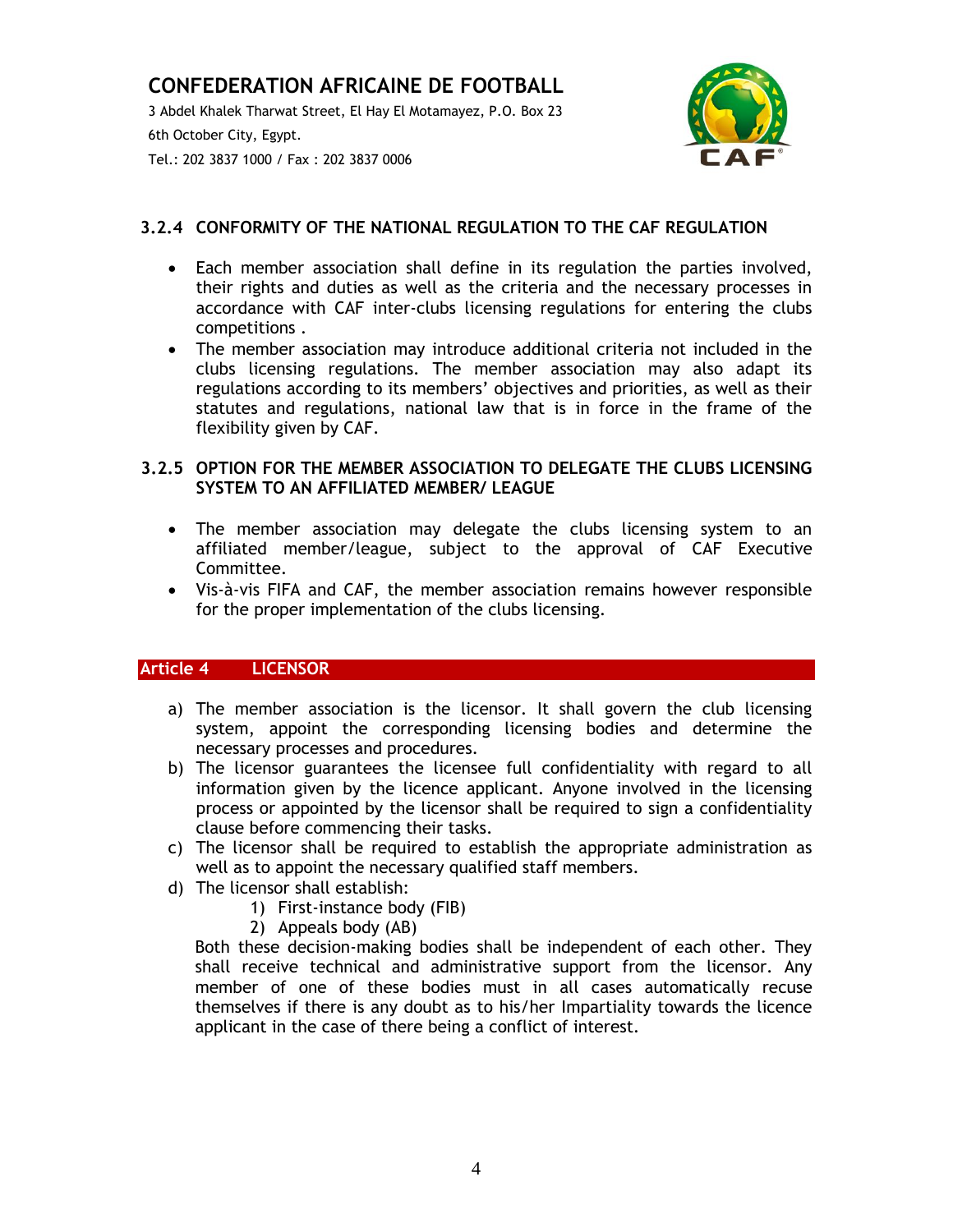3 Abdel Khalek Tharwat Street, El Hay El Motamayez, P.O. Box 23 6th October City, Egypt. Tel.: 202 3837 1000 / Fax : 202 3837 0006



## **3.2.4 CONFORMITY OF THE NATIONAL REGULATION TO THE CAF REGULATION**

- Each member association shall define in its regulation the parties involved, their rights and duties as well as the criteria and the necessary processes in accordance with CAF inter-clubs licensing regulations for entering the clubs competitions .
- The member association may introduce additional criteria not included in the clubs licensing regulations. The member association may also adapt its regulations according to its members' objectives and priorities, as well as their statutes and regulations, national law that is in force in the frame of the flexibility given by CAF.

### **3.2.5 OPTION FOR THE MEMBER ASSOCIATION TO DELEGATE THE CLUBS LICENSING SYSTEM TO AN AFFILIATED MEMBER/ LEAGUE**

- The member association may delegate the clubs licensing system to an affiliated member/league, subject to the approval of CAF Executive Committee.
- Vis-à-vis FIFA and CAF, the member association remains however responsible for the proper implementation of the clubs licensing.

## **Article 4 LICENSOR**

- a) The member association is the licensor. It shall govern the club licensing system, appoint the corresponding licensing bodies and determine the necessary processes and procedures.
- b) The licensor guarantees the licensee full confidentiality with regard to all information given by the licence applicant. Anyone involved in the licensing process or appointed by the licensor shall be required to sign a confidentiality clause before commencing their tasks.
- c) The licensor shall be required to establish the appropriate administration as well as to appoint the necessary qualified staff members.
- d) The licensor shall establish:
	- 1) First-instance body (FIB)
	- 2) Appeals body (AB)

Both these decision-making bodies shall be independent of each other. They shall receive technical and administrative support from the licensor. Any member of one of these bodies must in all cases automatically recuse themselves if there is any doubt as to his/her Impartiality towards the licence applicant in the case of there being a conflict of interest.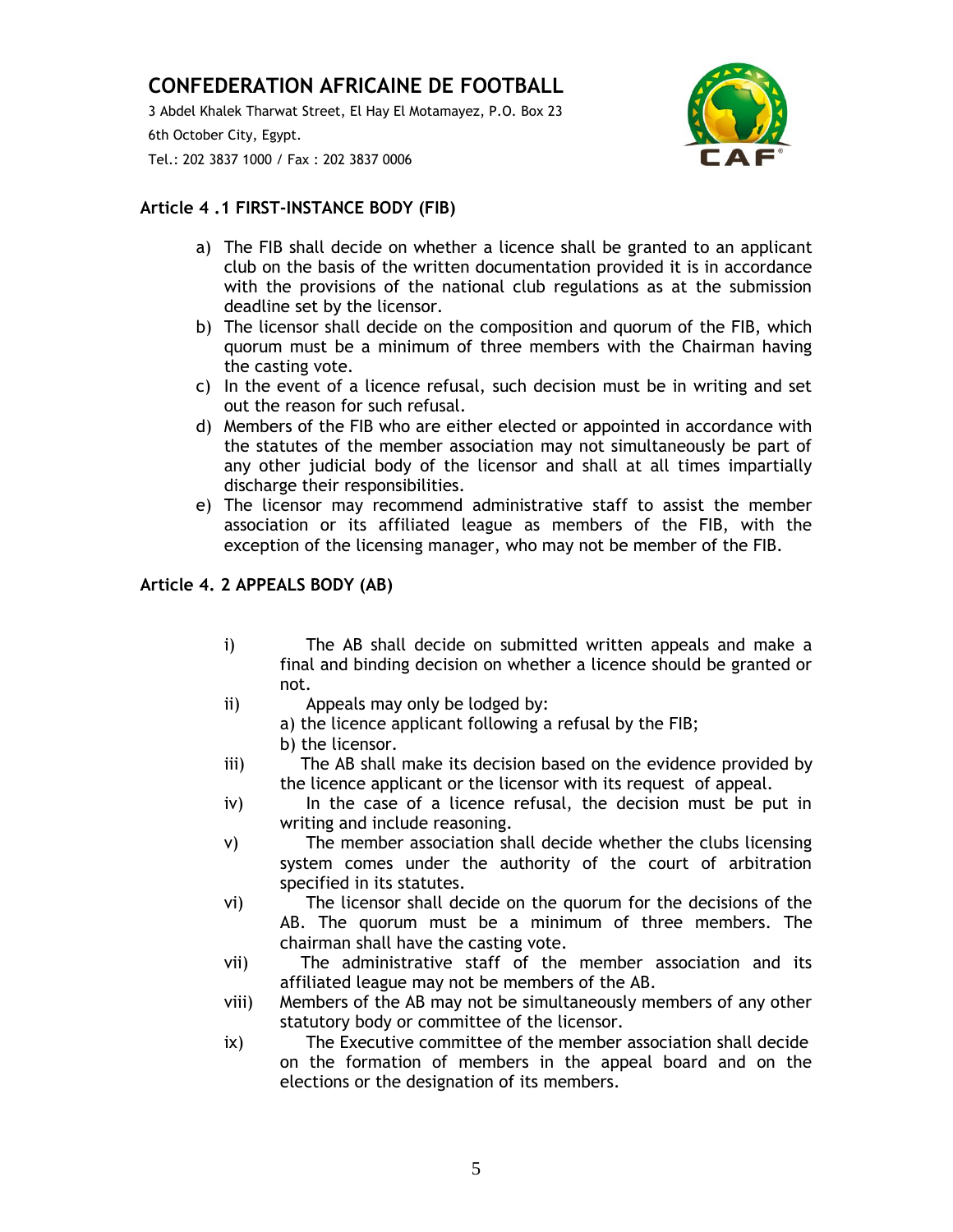3 Abdel Khalek Tharwat Street, El Hay El Motamayez, P.O. Box 23 6th October City, Egypt.



#### Tel.: 202 3837 1000 / Fax : 202 3837 0006

## **Article 4 .1 FIRST-INSTANCE BODY (FIB)**

- a) The FIB shall decide on whether a licence shall be granted to an applicant club on the basis of the written documentation provided it is in accordance with the provisions of the national club regulations as at the submission deadline set by the licensor.
- b) The licensor shall decide on the composition and quorum of the FIB, which quorum must be a minimum of three members with the Chairman having the casting vote.
- c) In the event of a licence refusal, such decision must be in writing and set out the reason for such refusal.
- d) Members of the FIB who are either elected or appointed in accordance with the statutes of the member association may not simultaneously be part of any other judicial body of the licensor and shall at all times impartially discharge their responsibilities.
- e) The licensor may recommend administrative staff to assist the member association or its affiliated league as members of the FIB, with the exception of the licensing manager, who may not be member of the FIB.

## **Article 4. 2 APPEALS BODY (AB)**

- i) The AB shall decide on submitted written appeals and make a final and binding decision on whether a licence should be granted or not.
- ii) Appeals may only be lodged by:
	- a) the licence applicant following a refusal by the FIB;
	- b) the licensor.
- iii) The AB shall make its decision based on the evidence provided by the licence applicant or the licensor with its request of appeal.
- $iv$  In the case of a licence refusal, the decision must be put in writing and include reasoning.
- v) The member association shall decide whether the clubs licensing system comes under the authority of the court of arbitration specified in its statutes.
- vi) The licensor shall decide on the quorum for the decisions of the AB. The quorum must be a minimum of three members. The chairman shall have the casting vote.
- vii) The administrative staff of the member association and its affiliated league may not be members of the AB.
- viii) Members of the AB may not be simultaneously members of any other statutory body or committee of the licensor.
- ix) The Executive committee of the member association shall decide on the formation of members in the appeal board and on the elections or the designation of its members.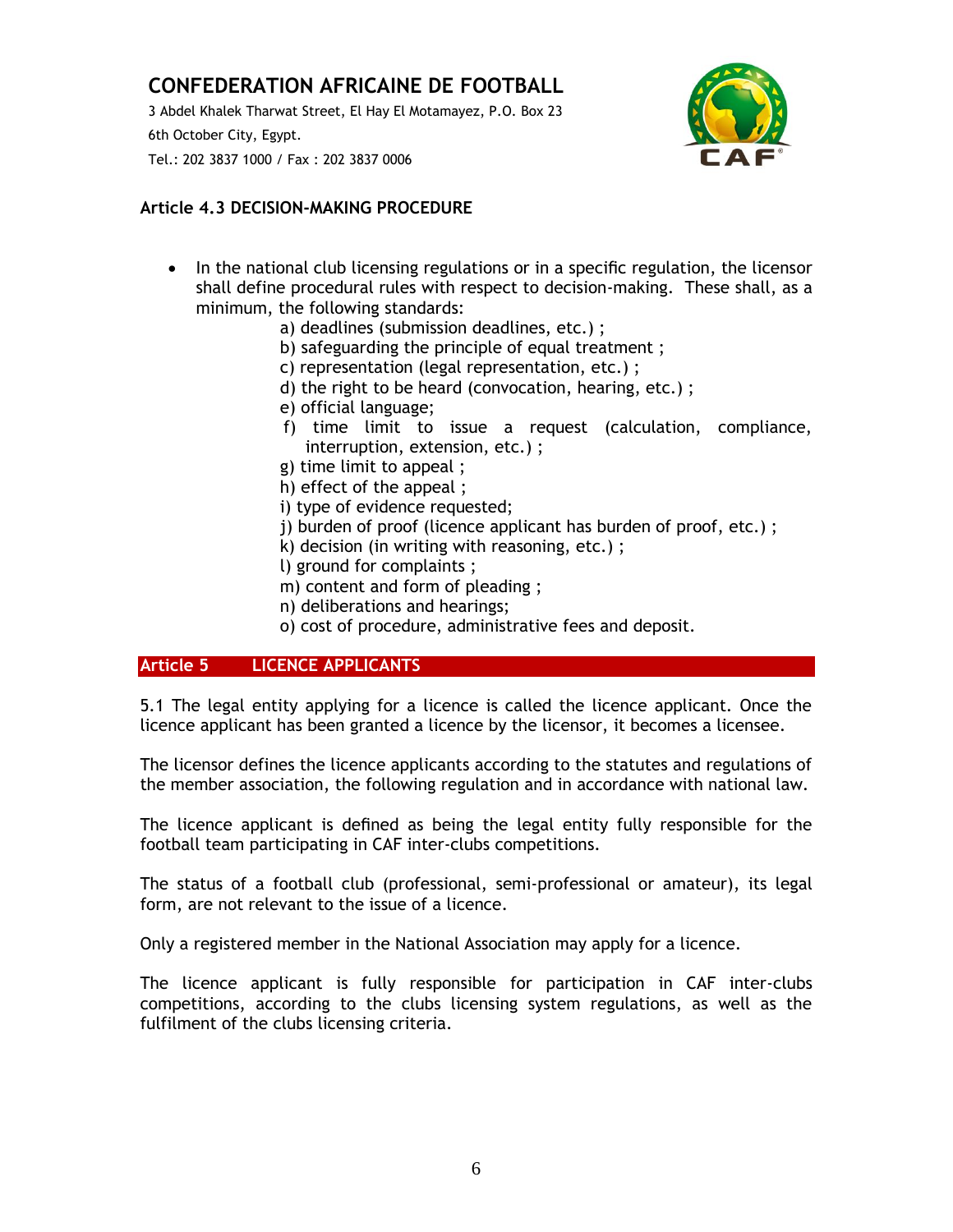3 Abdel Khalek Tharwat Street, El Hay El Motamayez, P.O. Box 23 6th October City, Egypt. Tel.: 202 3837 1000 / Fax : 202 3837 0006



## **Article 4.3 DECISION-MAKING PROCEDURE**

- In the national club licensing regulations or in a specific regulation, the licensor shall define procedural rules with respect to decision-making. These shall, as a minimum, the following standards:
	- a) deadlines (submission deadlines, etc.) ;
	- b) safeguarding the principle of equal treatment ;
	- c) representation (legal representation, etc.) ;
	- d) the right to be heard (convocation, hearing, etc.) ;
	- e) official language;
	- f) time limit to issue a request (calculation, compliance, interruption, extension, etc.) ;
	- g) time limit to appeal ;
	- h) effect of the appeal ;
	- i) type of evidence requested;
	- j) burden of proof (licence applicant has burden of proof, etc.) ;
	- k) decision (in writing with reasoning, etc.) ;
	- l) ground for complaints ;
	- m) content and form of pleading ;
	- n) deliberations and hearings;
	- o) cost of procedure, administrative fees and deposit.

#### **Article 5 LICENCE APPLICANTS**

5.1 The legal entity applying for a licence is called the licence applicant. Once the licence applicant has been granted a licence by the licensor, it becomes a licensee.

The licensor defines the licence applicants according to the statutes and regulations of the member association, the following regulation and in accordance with national law.

The licence applicant is defined as being the legal entity fully responsible for the football team participating in CAF inter-clubs competitions.

The status of a football club (professional, semi-professional or amateur), its legal form, are not relevant to the issue of a licence.

Only a registered member in the National Association may apply for a licence.

The licence applicant is fully responsible for participation in CAF inter-clubs competitions, according to the clubs licensing system regulations, as well as the fulfilment of the clubs licensing criteria.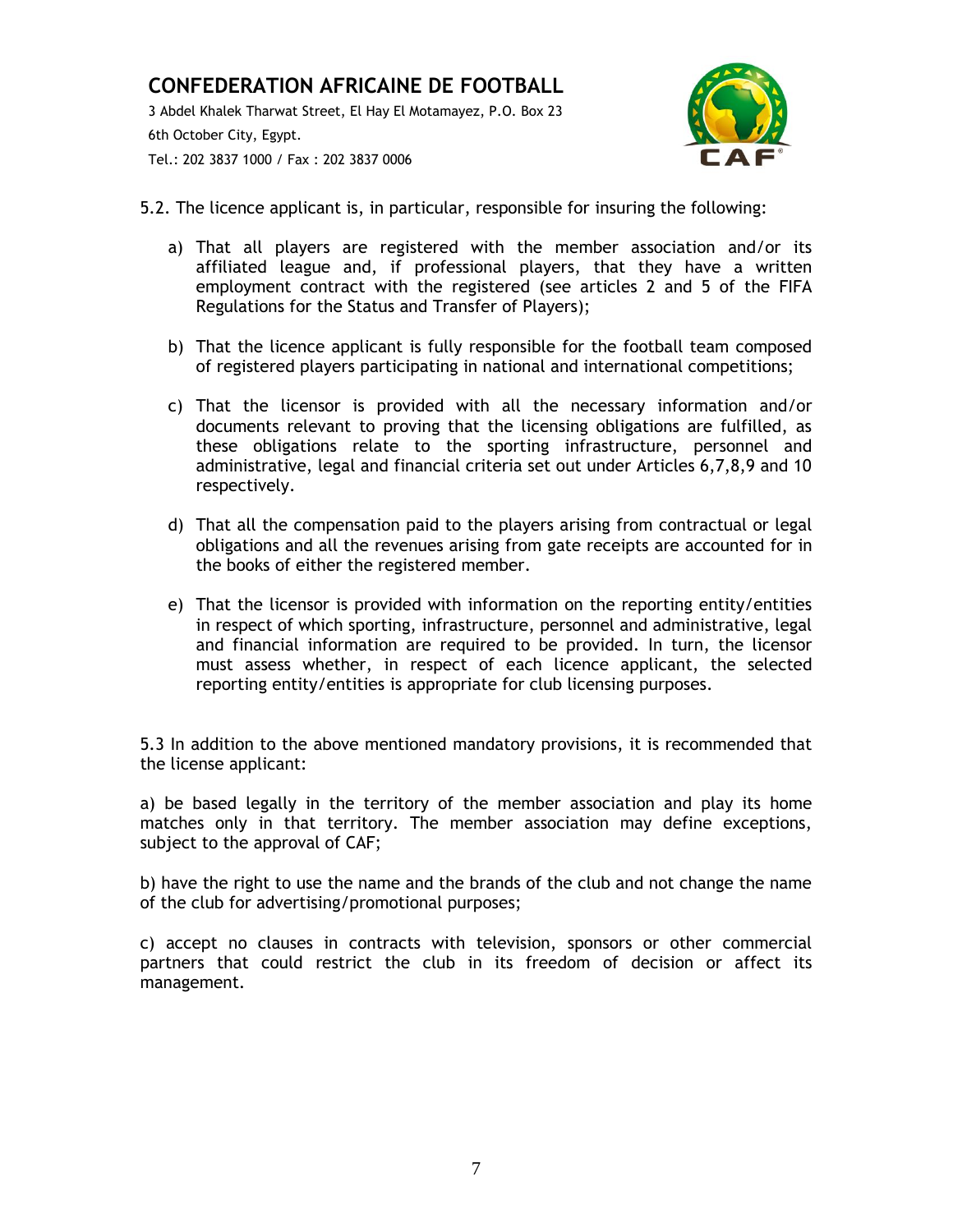3 Abdel Khalek Tharwat Street, El Hay El Motamayez, P.O. Box 23 6th October City, Egypt. Tel.: 202 3837 1000 / Fax : 202 3837 0006



- 5.2. The licence applicant is, in particular, responsible for insuring the following:
	- a) That all players are registered with the member association and/or its affiliated league and, if professional players, that they have a written employment contract with the registered (see articles 2 and 5 of the FIFA Regulations for the Status and Transfer of Players);
	- b) That the licence applicant is fully responsible for the football team composed of registered players participating in national and international competitions;
	- c) That the licensor is provided with all the necessary information and/or documents relevant to proving that the licensing obligations are fulfilled, as these obligations relate to the sporting infrastructure, personnel and administrative, legal and financial criteria set out under Articles 6,7,8,9 and 10 respectively.
	- d) That all the compensation paid to the players arising from contractual or legal obligations and all the revenues arising from gate receipts are accounted for in the books of either the registered member.
	- e) That the licensor is provided with information on the reporting entity/entities in respect of which sporting, infrastructure, personnel and administrative, legal and financial information are required to be provided. In turn, the licensor must assess whether, in respect of each licence applicant, the selected reporting entity/entities is appropriate for club licensing purposes.

5.3 In addition to the above mentioned mandatory provisions, it is recommended that the license applicant:

a) be based legally in the territory of the member association and play its home matches only in that territory. The member association may define exceptions, subject to the approval of CAF;

b) have the right to use the name and the brands of the club and not change the name of the club for advertising/promotional purposes;

c) accept no clauses in contracts with television, sponsors or other commercial partners that could restrict the club in its freedom of decision or affect its management.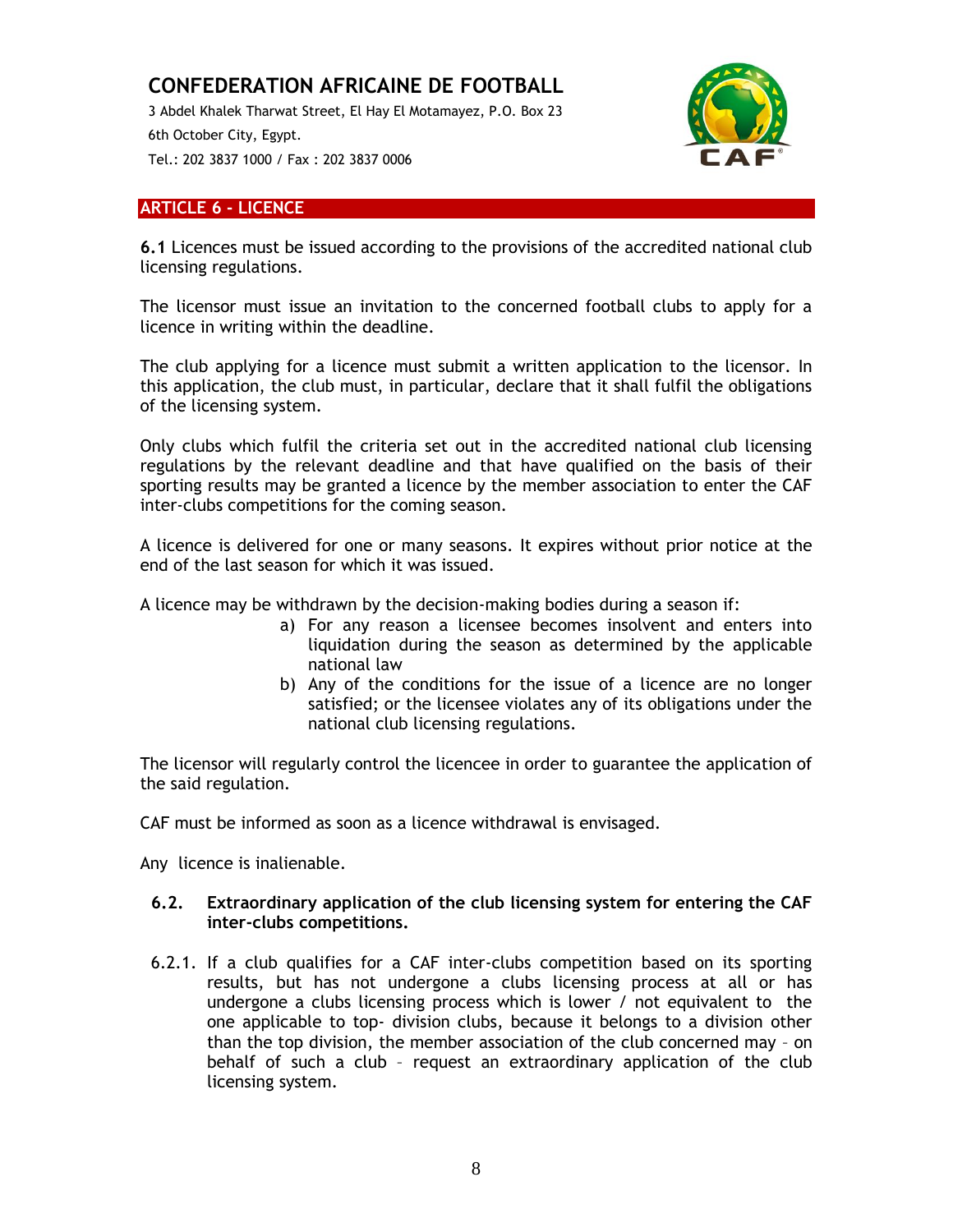3 Abdel Khalek Tharwat Street, El Hay El Motamayez, P.O. Box 23 6th October City, Egypt. Tel.: 202 3837 1000 / Fax : 202 3837 0006



## **ARTICLE 6 - LICENCE**

**6.1** Licences must be issued according to the provisions of the accredited national club licensing regulations.

The licensor must issue an invitation to the concerned football clubs to apply for a licence in writing within the deadline.

The club applying for a licence must submit a written application to the licensor. In this application, the club must, in particular, declare that it shall fulfil the obligations of the licensing system.

Only clubs which fulfil the criteria set out in the accredited national club licensing regulations by the relevant deadline and that have qualified on the basis of their sporting results may be granted a licence by the member association to enter the CAF inter-clubs competitions for the coming season.

A licence is delivered for one or many seasons. It expires without prior notice at the end of the last season for which it was issued.

A licence may be withdrawn by the decision-making bodies during a season if:

- a) For any reason a licensee becomes insolvent and enters into liquidation during the season as determined by the applicable national law
- b) Any of the conditions for the issue of a licence are no longer satisfied; or the licensee violates any of its obligations under the national club licensing regulations.

The licensor will regularly control the licencee in order to guarantee the application of the said regulation.

CAF must be informed as soon as a licence withdrawal is envisaged.

Any licence is inalienable.

#### **6.2. Extraordinary application of the club licensing system for entering the CAF inter-clubs competitions.**

6.2.1. If a club qualifies for a CAF inter-clubs competition based on its sporting results, but has not undergone a clubs licensing process at all or has undergone a clubs licensing process which is lower / not equivalent to the one applicable to top- division clubs, because it belongs to a division other than the top division, the member association of the club concerned may – on behalf of such a club – request an extraordinary application of the club licensing system.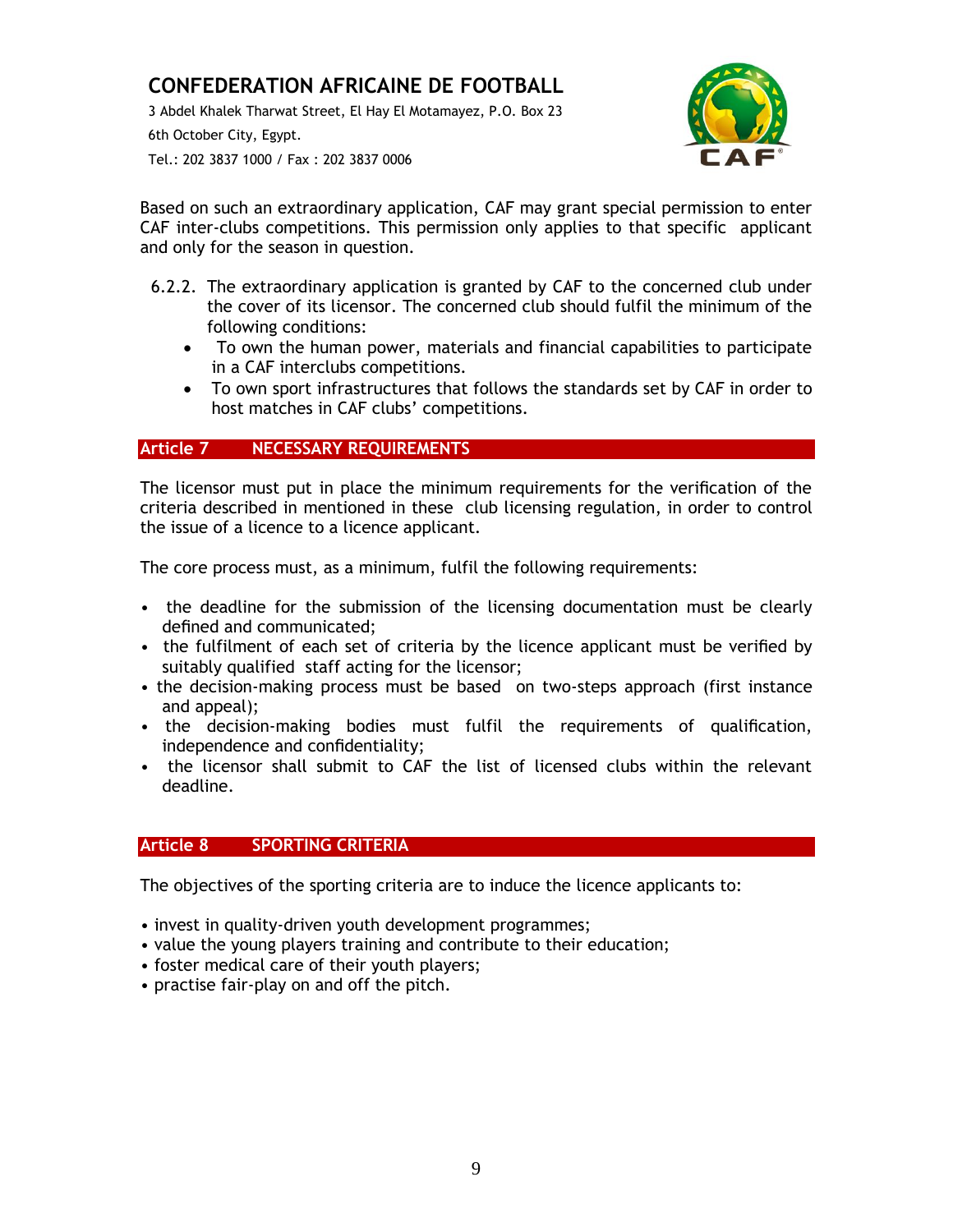3 Abdel Khalek Tharwat Street, El Hay El Motamayez, P.O. Box 23

6th October City, Egypt.

Tel.: 202 3837 1000 / Fax : 202 3837 0006



Based on such an extraordinary application, CAF may grant special permission to enter CAF inter-clubs competitions. This permission only applies to that specific applicant and only for the season in question.

- 6.2.2. The extraordinary application is granted by CAF to the concerned club under the cover of its licensor. The concerned club should fulfil the minimum of the following conditions:
	- To own the human power, materials and financial capabilities to participate in a CAF interclubs competitions.
	- To own sport infrastructures that follows the standards set by CAF in order to host matches in CAF clubs' competitions.

## **Article 7 NECESSARY REQUIREMENTS**

The licensor must put in place the minimum requirements for the verification of the criteria described in mentioned in these club licensing regulation, in order to control the issue of a licence to a licence applicant.

The core process must, as a minimum, fulfil the following requirements:

- the deadline for the submission of the licensing documentation must be clearly defined and communicated;
- the fulfilment of each set of criteria by the licence applicant must be verified by suitably qualified staff acting for the licensor;
- the decision-making process must be based on two-steps approach (first instance and appeal);
- the decision-making bodies must fulfil the requirements of qualification, independence and confidentiality;
- the licensor shall submit to CAF the list of licensed clubs within the relevant deadline.

### **Article 8 SPORTING CRITERIA**

The objectives of the sporting criteria are to induce the licence applicants to:

- invest in quality-driven youth development programmes;
- value the young players training and contribute to their education;
- foster medical care of their youth players;
- practise fair-play on and off the pitch.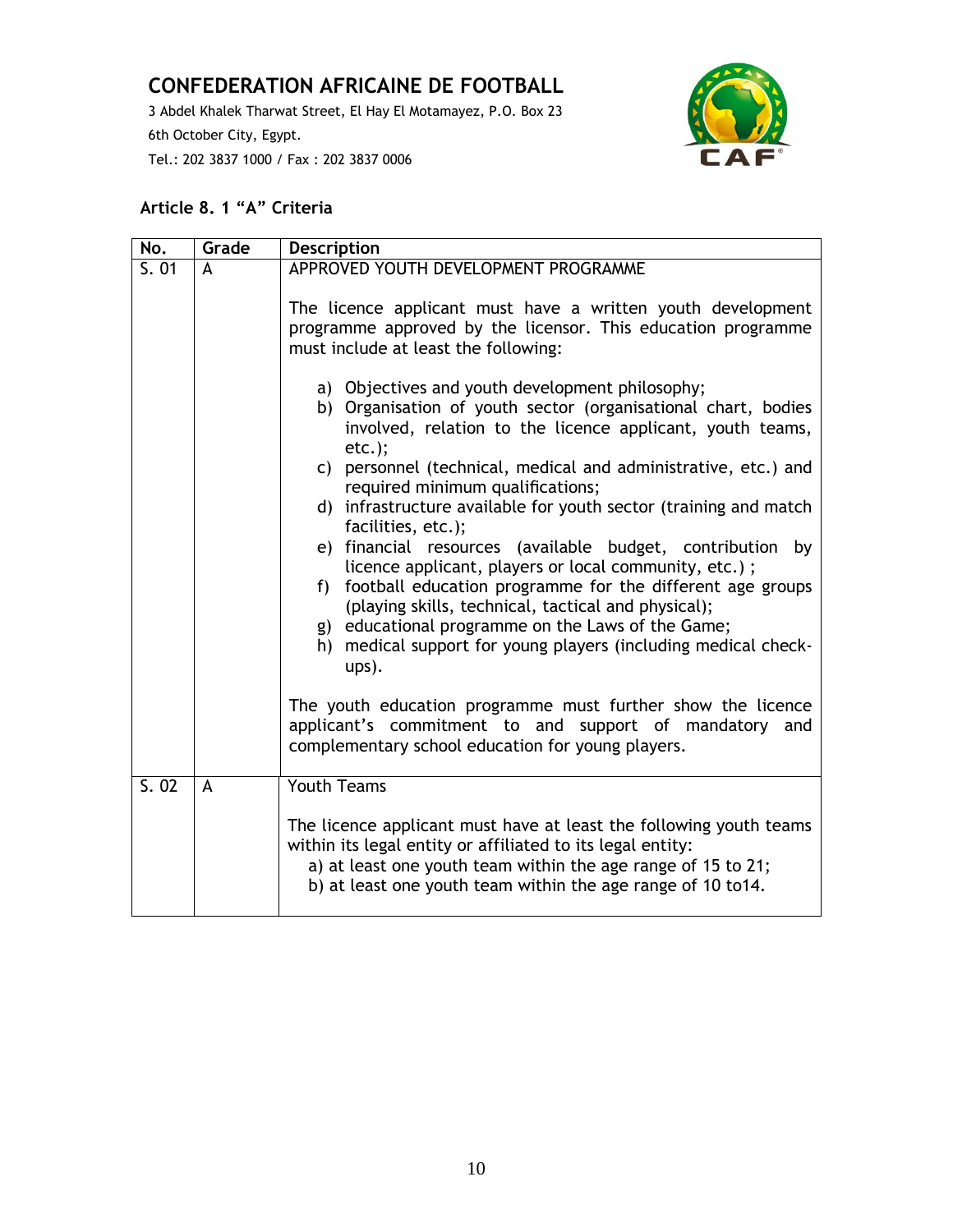3 Abdel Khalek Tharwat Street, El Hay El Motamayez, P.O. Box 23 6th October City, Egypt. Tel.: 202 3837 1000 / Fax : 202 3837 0006



## **Article 8. 1 "A" Criteria**

| No.  | Grade | <b>Description</b>                                                                                                                                                                                                                                                                                                                                                                                                                                                                                                                                                                                                                                    |
|------|-------|-------------------------------------------------------------------------------------------------------------------------------------------------------------------------------------------------------------------------------------------------------------------------------------------------------------------------------------------------------------------------------------------------------------------------------------------------------------------------------------------------------------------------------------------------------------------------------------------------------------------------------------------------------|
| S.01 | A     | APPROVED YOUTH DEVELOPMENT PROGRAMME<br>The licence applicant must have a written youth development<br>programme approved by the licensor. This education programme<br>must include at least the following:<br>a) Objectives and youth development philosophy;<br>b) Organisation of youth sector (organisational chart, bodies<br>involved, relation to the licence applicant, youth teams,                                                                                                                                                                                                                                                          |
|      |       | $etc.$ );<br>c) personnel (technical, medical and administrative, etc.) and<br>required minimum qualifications;<br>d) infrastructure available for youth sector (training and match<br>facilities, etc.);<br>e) financial resources (available budget, contribution by<br>licence applicant, players or local community, etc.);<br>f) football education programme for the different age groups<br>(playing skills, technical, tactical and physical);<br>g) educational programme on the Laws of the Game;<br>h) medical support for young players (including medical check-<br>ups).<br>The youth education programme must further show the licence |
|      |       | applicant's commitment to and support of mandatory and<br>complementary school education for young players.                                                                                                                                                                                                                                                                                                                                                                                                                                                                                                                                           |
| S.02 | A     | <b>Youth Teams</b><br>The licence applicant must have at least the following youth teams<br>within its legal entity or affiliated to its legal entity:<br>a) at least one youth team within the age range of 15 to 21;<br>b) at least one youth team within the age range of 10 to14.                                                                                                                                                                                                                                                                                                                                                                 |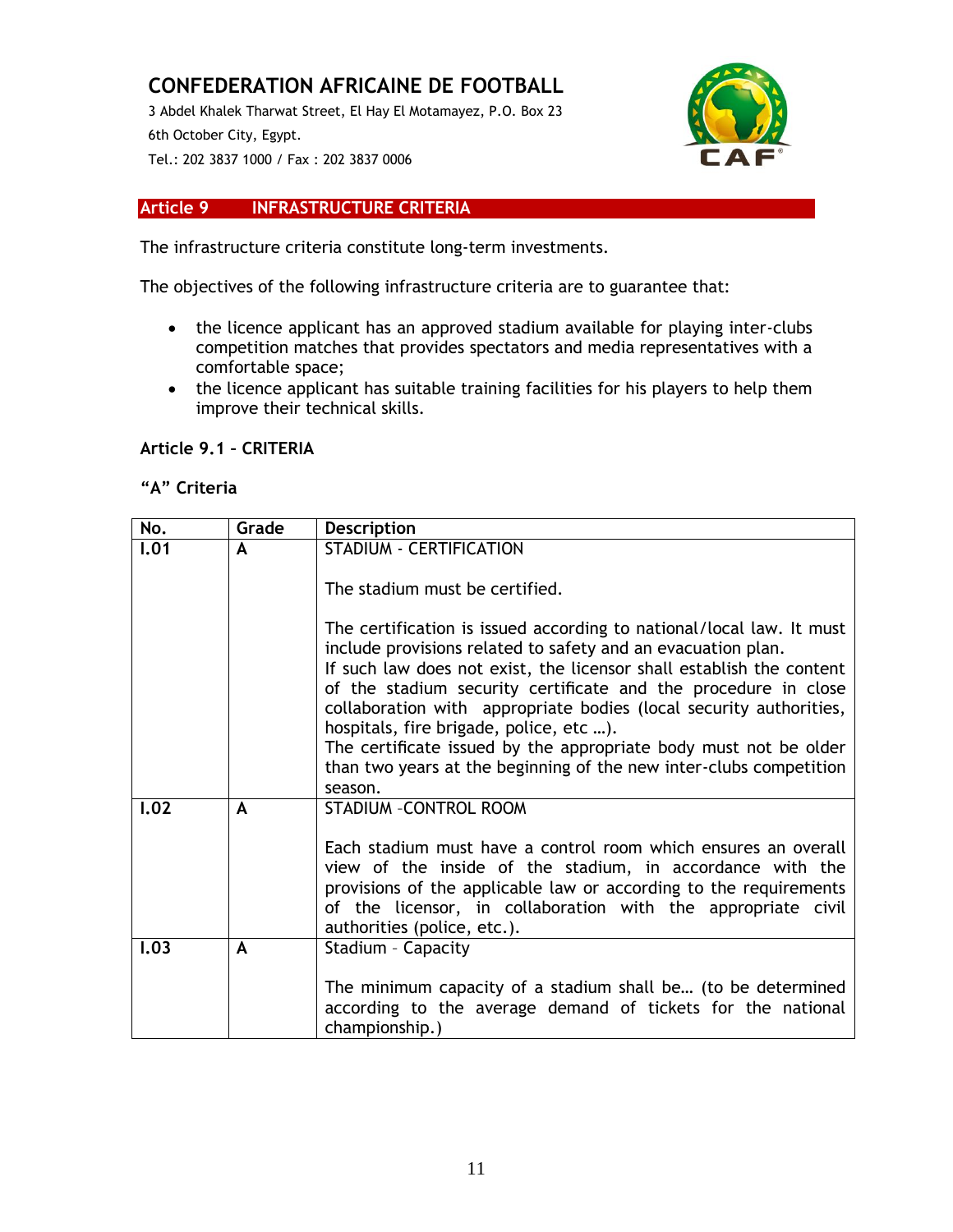3 Abdel Khalek Tharwat Street, El Hay El Motamayez, P.O. Box 23 6th October City, Egypt. Tel.: 202 3837 1000 / Fax : 202 3837 0006



### **Article 9 INFRASTRUCTURE CRITERIA**

The infrastructure criteria constitute long-term investments.

The objectives of the following infrastructure criteria are to guarantee that:

- the licence applicant has an approved stadium available for playing inter-clubs competition matches that provides spectators and media representatives with a comfortable space;
- the licence applicant has suitable training facilities for his players to help them improve their technical skills.

## **Article 9.1 – CRITERIA**

### **"A" Criteria**

| No.  | Grade        | <b>Description</b>                                                                                                                                                                                                                                                                                                                                                                                                                                                                                                                                   |
|------|--------------|------------------------------------------------------------------------------------------------------------------------------------------------------------------------------------------------------------------------------------------------------------------------------------------------------------------------------------------------------------------------------------------------------------------------------------------------------------------------------------------------------------------------------------------------------|
| I.01 | A            | <b>STADIUM - CERTIFICATION</b>                                                                                                                                                                                                                                                                                                                                                                                                                                                                                                                       |
|      |              | The stadium must be certified.                                                                                                                                                                                                                                                                                                                                                                                                                                                                                                                       |
|      |              | The certification is issued according to national/local law. It must<br>include provisions related to safety and an evacuation plan.<br>If such law does not exist, the licensor shall establish the content<br>of the stadium security certificate and the procedure in close<br>collaboration with appropriate bodies (local security authorities,<br>hospitals, fire brigade, police, etc ).<br>The certificate issued by the appropriate body must not be older<br>than two years at the beginning of the new inter-clubs competition<br>season. |
| 1.02 | A            | <b>STADIUM - CONTROL ROOM</b>                                                                                                                                                                                                                                                                                                                                                                                                                                                                                                                        |
|      |              | Each stadium must have a control room which ensures an overall<br>view of the inside of the stadium, in accordance with the<br>provisions of the applicable law or according to the requirements<br>of the licensor, in collaboration with the appropriate civil<br>authorities (police, etc.).                                                                                                                                                                                                                                                      |
| 1.03 | $\mathbf{A}$ | Stadium - Capacity                                                                                                                                                                                                                                                                                                                                                                                                                                                                                                                                   |
|      |              | The minimum capacity of a stadium shall be (to be determined<br>according to the average demand of tickets for the national<br>championship.)                                                                                                                                                                                                                                                                                                                                                                                                        |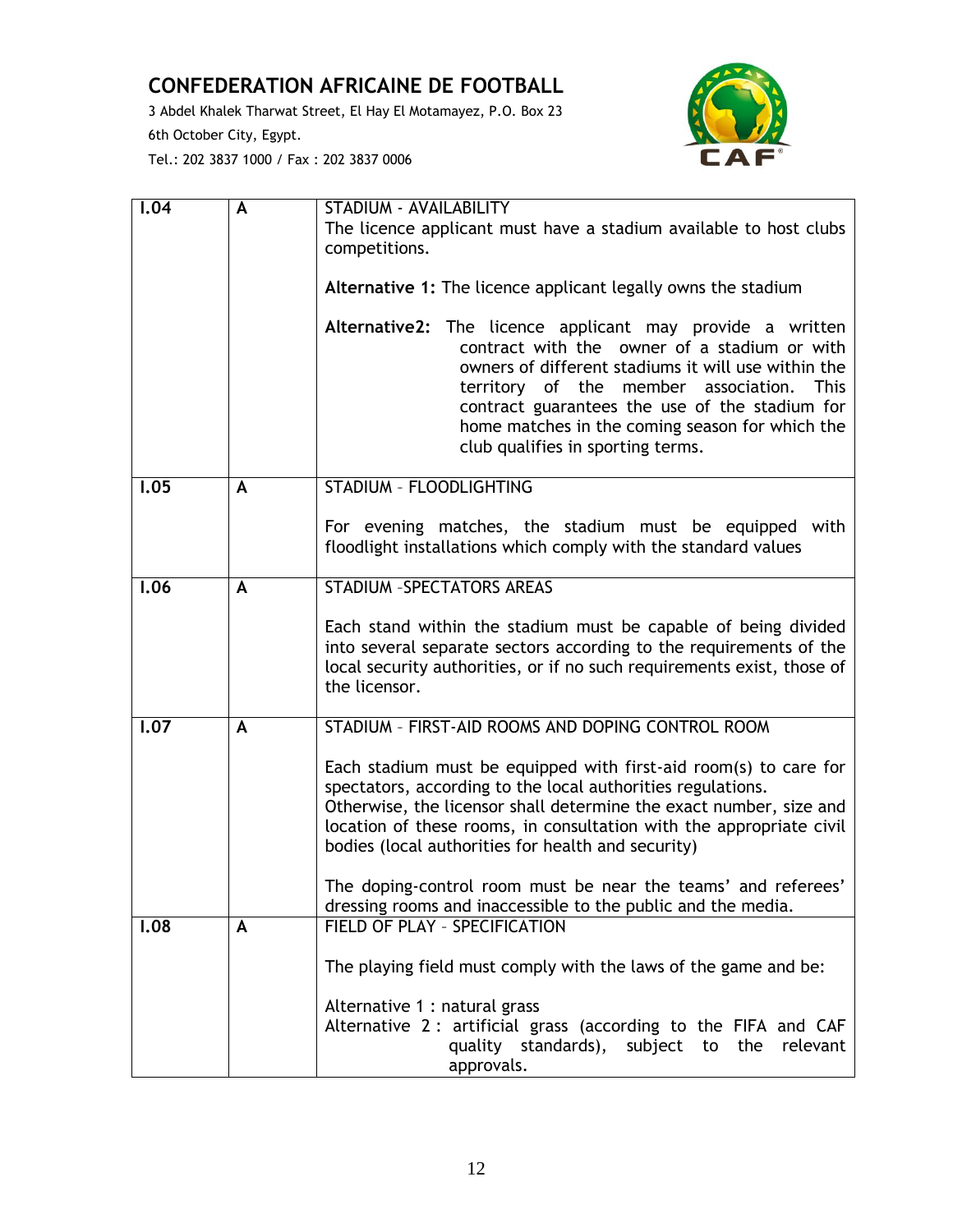3 Abdel Khalek Tharwat Street, El Hay El Motamayez, P.O. Box 23 6th October City, Egypt.



| 1.04 | $\mathsf{A}$ | STADIUM - AVAILABILITY                                                                                                                                                                                                                                                                                                                                            |
|------|--------------|-------------------------------------------------------------------------------------------------------------------------------------------------------------------------------------------------------------------------------------------------------------------------------------------------------------------------------------------------------------------|
|      |              | The licence applicant must have a stadium available to host clubs<br>competitions.                                                                                                                                                                                                                                                                                |
|      |              | Alternative 1: The licence applicant legally owns the stadium                                                                                                                                                                                                                                                                                                     |
|      |              | Alternative2: The licence applicant may provide a written<br>contract with the owner of a stadium or with<br>owners of different stadiums it will use within the<br>territory of the member association.<br><b>This</b><br>contract guarantees the use of the stadium for<br>home matches in the coming season for which the<br>club qualifies in sporting terms. |
| 1.05 | $\mathsf{A}$ | STADIUM - FLOODLIGHTING                                                                                                                                                                                                                                                                                                                                           |
|      |              | For evening matches, the stadium must be equipped with<br>floodlight installations which comply with the standard values                                                                                                                                                                                                                                          |
| 1.06 | A            | <b>STADIUM - SPECTATORS AREAS</b>                                                                                                                                                                                                                                                                                                                                 |
|      |              | Each stand within the stadium must be capable of being divided<br>into several separate sectors according to the requirements of the<br>local security authorities, or if no such requirements exist, those of<br>the licensor.                                                                                                                                   |
| 1.07 | A            | STADIUM - FIRST-AID ROOMS AND DOPING CONTROL ROOM                                                                                                                                                                                                                                                                                                                 |
|      |              | Each stadium must be equipped with first-aid room(s) to care for<br>spectators, according to the local authorities regulations.<br>Otherwise, the licensor shall determine the exact number, size and<br>location of these rooms, in consultation with the appropriate civil<br>bodies (local authorities for health and security)                                |
|      |              | The doping-control room must be near the teams' and referees'<br>dressing rooms and inaccessible to the public and the media.                                                                                                                                                                                                                                     |
| 1.08 | A            | FIELD OF PLAY - SPECIFICATION                                                                                                                                                                                                                                                                                                                                     |
|      |              | The playing field must comply with the laws of the game and be:                                                                                                                                                                                                                                                                                                   |
|      |              | Alternative 1 : natural grass<br>Alternative 2: artificial grass (according to the FIFA and CAF<br>quality standards), subject to the<br>relevant<br>approvals.                                                                                                                                                                                                   |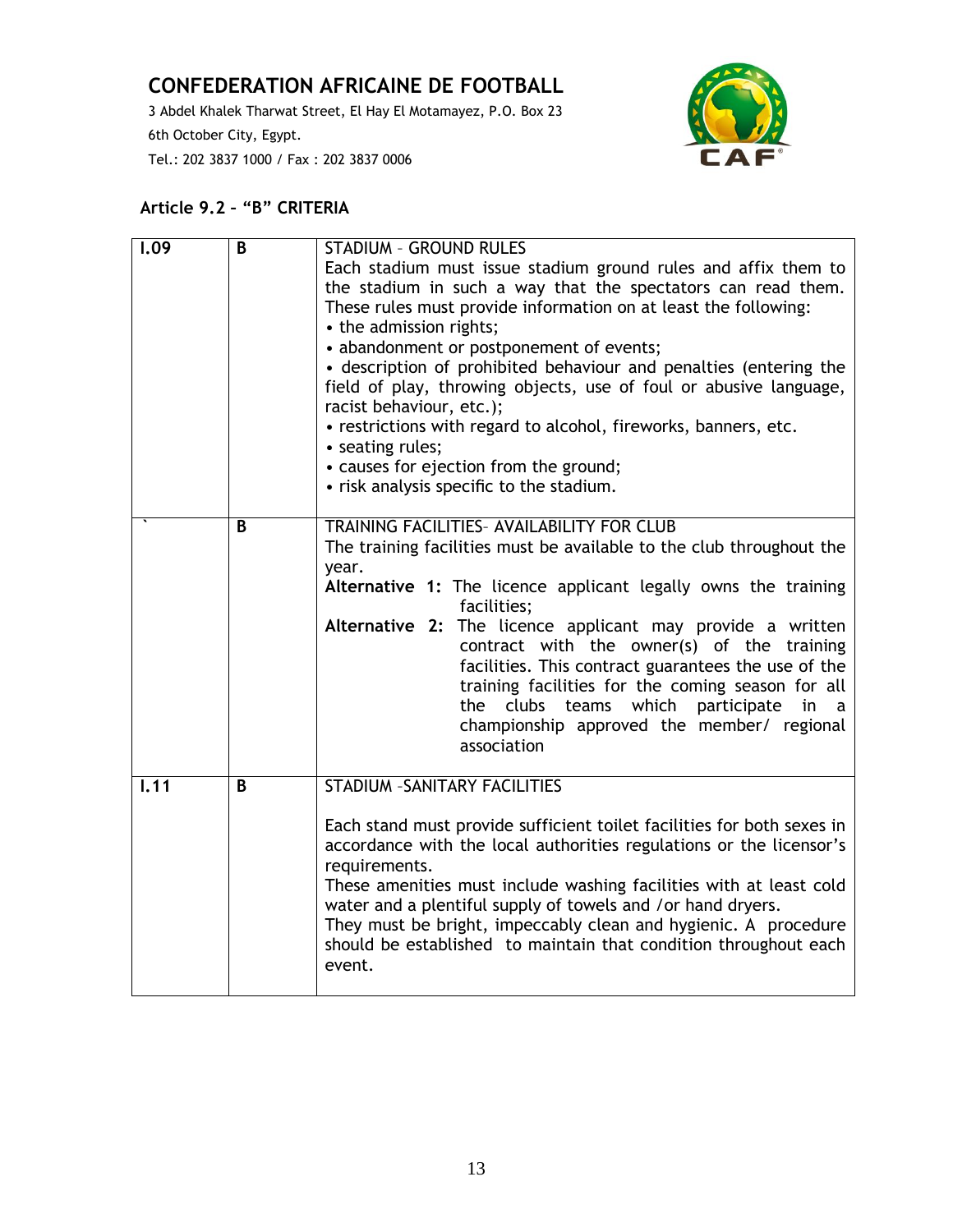3 Abdel Khalek Tharwat Street, El Hay El Motamayez, P.O. Box 23 6th October City, Egypt. Tel.: 202 3837 1000 / Fax : 202 3837 0006



## **Article 9.2 – "B" CRITERIA**

| 1.09 | B | <b>STADIUM - GROUND RULES</b>                                                                                                                                                                                                                                                                                                     |
|------|---|-----------------------------------------------------------------------------------------------------------------------------------------------------------------------------------------------------------------------------------------------------------------------------------------------------------------------------------|
|      |   | Each stadium must issue stadium ground rules and affix them to                                                                                                                                                                                                                                                                    |
|      |   | the stadium in such a way that the spectators can read them.                                                                                                                                                                                                                                                                      |
|      |   | These rules must provide information on at least the following:                                                                                                                                                                                                                                                                   |
|      |   | • the admission rights;                                                                                                                                                                                                                                                                                                           |
|      |   | • abandonment or postponement of events;                                                                                                                                                                                                                                                                                          |
|      |   | · description of prohibited behaviour and penalties (entering the<br>field of play, throwing objects, use of foul or abusive language,                                                                                                                                                                                            |
|      |   | racist behaviour, etc.);                                                                                                                                                                                                                                                                                                          |
|      |   | • restrictions with regard to alcohol, fireworks, banners, etc.<br>• seating rules;                                                                                                                                                                                                                                               |
|      |   | • causes for ejection from the ground;                                                                                                                                                                                                                                                                                            |
|      |   | • risk analysis specific to the stadium.                                                                                                                                                                                                                                                                                          |
|      |   |                                                                                                                                                                                                                                                                                                                                   |
|      | B | TRAINING FACILITIES- AVAILABILITY FOR CLUB                                                                                                                                                                                                                                                                                        |
|      |   | The training facilities must be available to the club throughout the                                                                                                                                                                                                                                                              |
|      |   | year.                                                                                                                                                                                                                                                                                                                             |
|      |   | Alternative 1: The licence applicant legally owns the training<br>facilities;                                                                                                                                                                                                                                                     |
|      |   | Alternative 2: The licence applicant may provide a written<br>contract with the owner(s) of the training<br>facilities. This contract guarantees the use of the<br>training facilities for the coming season for all<br>the clubs teams which participate<br>in<br>a<br>championship approved the member/ regional<br>association |
| 1.11 | B | <b>STADIUM - SANITARY FACILITIES</b>                                                                                                                                                                                                                                                                                              |
|      |   |                                                                                                                                                                                                                                                                                                                                   |
|      |   | Each stand must provide sufficient toilet facilities for both sexes in                                                                                                                                                                                                                                                            |
|      |   | accordance with the local authorities regulations or the licensor's                                                                                                                                                                                                                                                               |
|      |   | requirements.                                                                                                                                                                                                                                                                                                                     |
|      |   | These amenities must include washing facilities with at least cold                                                                                                                                                                                                                                                                |
|      |   | water and a plentiful supply of towels and /or hand dryers.                                                                                                                                                                                                                                                                       |
|      |   | They must be bright, impeccably clean and hygienic. A procedure<br>should be established to maintain that condition throughout each<br>event.                                                                                                                                                                                     |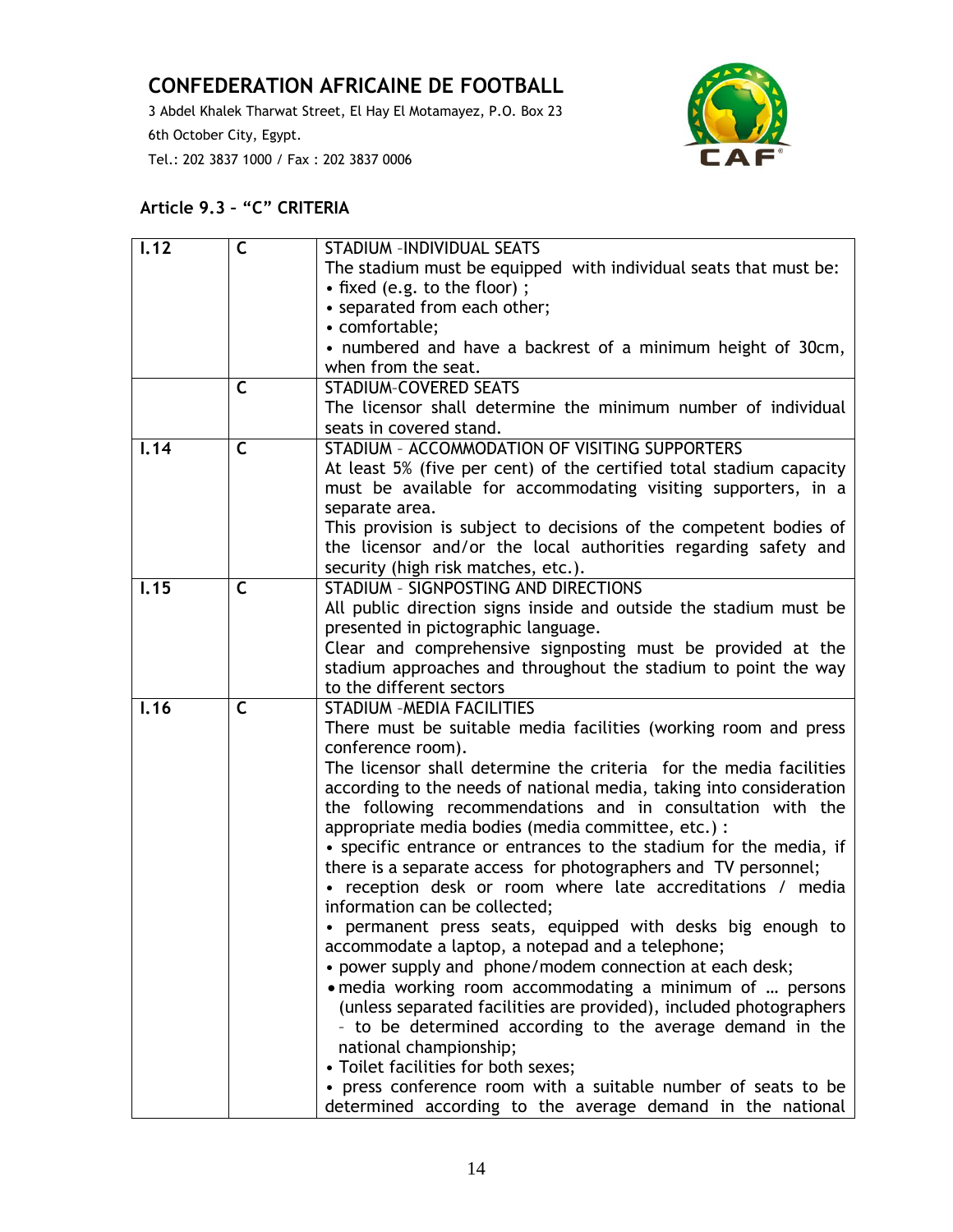3 Abdel Khalek Tharwat Street, El Hay El Motamayez, P.O. Box 23 6th October City, Egypt.

Tel.: 202 3837 1000 / Fax : 202 3837 0006



# **Article 9.3 – "C" CRITERIA**

| 1.12 | $\mathsf{C}$ | STADIUM - INDIVIDUAL SEATS                                                                                                  |
|------|--------------|-----------------------------------------------------------------------------------------------------------------------------|
|      |              | The stadium must be equipped with individual seats that must be:                                                            |
|      |              | • fixed (e.g. to the floor);                                                                                                |
|      |              | • separated from each other;                                                                                                |
|      |              | • comfortable;                                                                                                              |
|      |              | • numbered and have a backrest of a minimum height of 30cm,                                                                 |
|      |              | when from the seat.                                                                                                         |
|      | $\mathsf{C}$ | <b>STADIUM-COVERED SEATS</b>                                                                                                |
|      |              | The licensor shall determine the minimum number of individual                                                               |
|      |              | seats in covered stand.                                                                                                     |
| 1.14 | $\mathsf{C}$ | STADIUM - ACCOMMODATION OF VISITING SUPPORTERS                                                                              |
|      |              | At least 5% (five per cent) of the certified total stadium capacity                                                         |
|      |              | must be available for accommodating visiting supporters, in a                                                               |
|      |              | separate area.                                                                                                              |
|      |              | This provision is subject to decisions of the competent bodies of                                                           |
|      |              | the licensor and/or the local authorities regarding safety and                                                              |
|      |              | security (high risk matches, etc.).                                                                                         |
| 1.15 | $\mathsf{C}$ | <b>STADIUM - SIGNPOSTING AND DIRECTIONS</b>                                                                                 |
|      |              | All public direction signs inside and outside the stadium must be                                                           |
|      |              | presented in pictographic language.                                                                                         |
|      |              | Clear and comprehensive signposting must be provided at the                                                                 |
|      |              | stadium approaches and throughout the stadium to point the way                                                              |
|      |              | to the different sectors                                                                                                    |
| 1.16 | $\mathsf{C}$ | <b>STADIUM - MEDIA FACILITIES</b>                                                                                           |
|      |              | There must be suitable media facilities (working room and press                                                             |
|      |              | conference room).                                                                                                           |
|      |              | The licensor shall determine the criteria for the media facilities                                                          |
|      |              | according to the needs of national media, taking into consideration                                                         |
|      |              | the following recommendations and in consultation with the                                                                  |
|      |              | appropriate media bodies (media committee, etc.) :                                                                          |
|      |              | • specific entrance or entrances to the stadium for the media, if                                                           |
|      |              | there is a separate access for photographers and TV personnel;                                                              |
|      |              | • reception desk or room where late accreditations / media                                                                  |
|      |              | information can be collected;                                                                                               |
|      |              | permanent press seats, equipped with desks big enough to                                                                    |
|      |              | accommodate a laptop, a notepad and a telephone;                                                                            |
|      |              | • power supply and phone/modem connection at each desk;                                                                     |
|      |              | . media working room accommodating a minimum of  persons                                                                    |
|      |              | (unless separated facilities are provided), included photographers                                                          |
|      |              | - to be determined according to the average demand in the                                                                   |
|      |              |                                                                                                                             |
|      |              | national championship;                                                                                                      |
|      |              | • Toilet facilities for both sexes;                                                                                         |
|      |              | • press conference room with a suitable number of seats to be<br>determined according to the average demand in the national |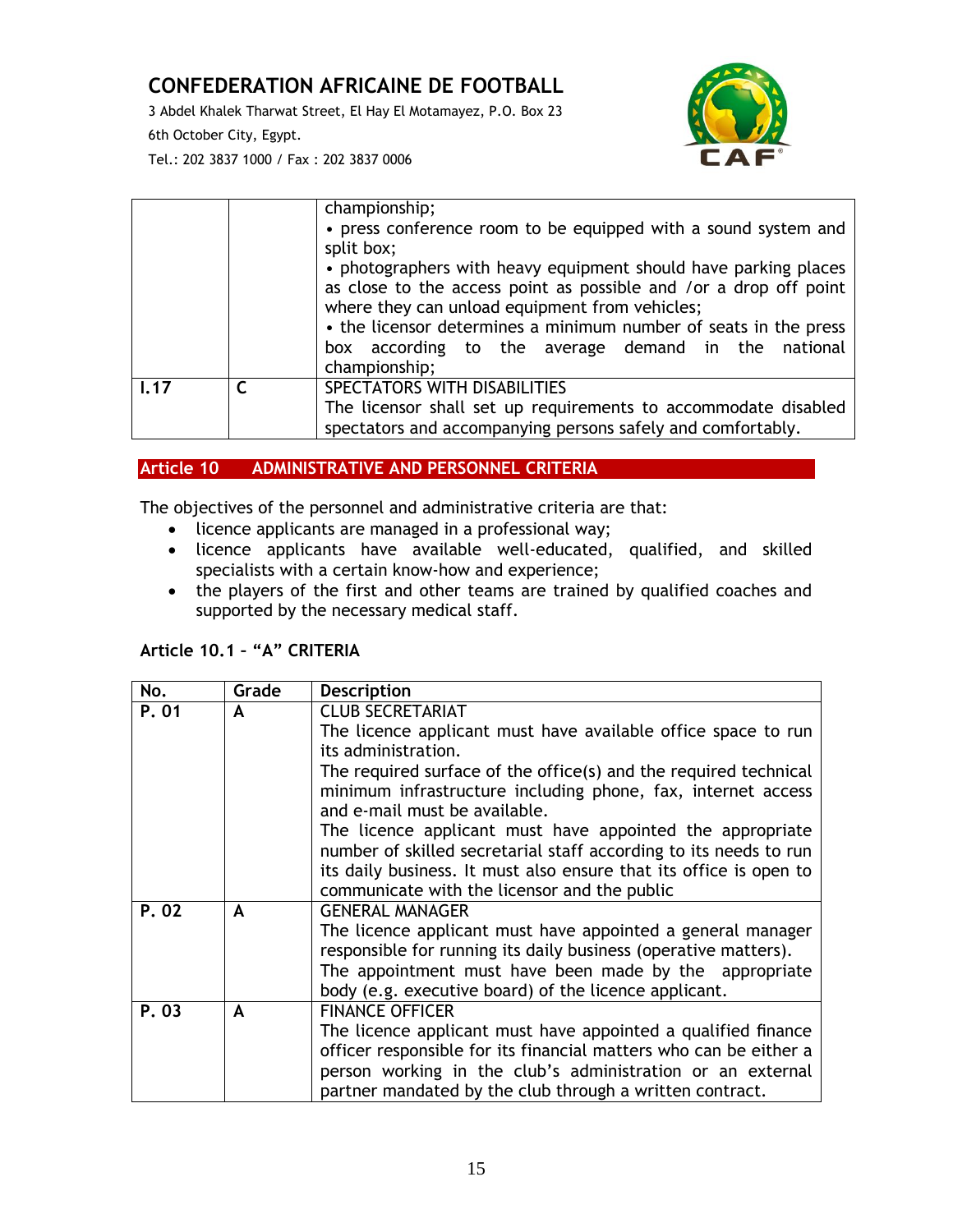3 Abdel Khalek Tharwat Street, El Hay El Motamayez, P.O. Box 23

6th October City, Egypt.

Tel.: 202 3837 1000 / Fax : 202 3837 0006



|      | championship;<br>• press conference room to be equipped with a sound system and<br>split box;<br>• photographers with heavy equipment should have parking places<br>as close to the access point as possible and /or a drop off point<br>where they can unload equipment from vehicles;<br>• the licensor determines a minimum number of seats in the press<br>box according to the average demand in the national<br>championship; |
|------|-------------------------------------------------------------------------------------------------------------------------------------------------------------------------------------------------------------------------------------------------------------------------------------------------------------------------------------------------------------------------------------------------------------------------------------|
| 1.17 | SPECTATORS WITH DISABILITIES<br>The licensor shall set up requirements to accommodate disabled<br>spectators and accompanying persons safely and comfortably.                                                                                                                                                                                                                                                                       |

## **Article 10 ADMINISTRATIVE AND PERSONNEL CRITERIA**

The objectives of the personnel and administrative criteria are that:

- licence applicants are managed in a professional way;
- licence applicants have available well-educated, qualified, and skilled specialists with a certain know-how and experience;
- the players of the first and other teams are trained by qualified coaches and supported by the necessary medical staff.

| No.   | Grade            | <b>Description</b>                                                 |
|-------|------------------|--------------------------------------------------------------------|
| P. 01 | A                | <b>CLUB SECRETARIAT</b>                                            |
|       |                  | The licence applicant must have available office space to run      |
|       |                  | its administration.                                                |
|       |                  | The required surface of the office(s) and the required technical   |
|       |                  | minimum infrastructure including phone, fax, internet access       |
|       |                  | and e-mail must be available.                                      |
|       |                  | The licence applicant must have appointed the appropriate          |
|       |                  | number of skilled secretarial staff according to its needs to run  |
|       |                  | its daily business. It must also ensure that its office is open to |
|       |                  | communicate with the licensor and the public                       |
| P.02  | A                | <b>GENERAL MANAGER</b>                                             |
|       |                  | The licence applicant must have appointed a general manager        |
|       |                  | responsible for running its daily business (operative matters).    |
|       |                  | The appointment must have been made by the appropriate             |
|       |                  | body (e.g. executive board) of the licence applicant.              |
| P.03  | $\blacktriangle$ | <b>FINANCE OFFICER</b>                                             |
|       |                  | The licence applicant must have appointed a qualified finance      |
|       |                  | officer responsible for its financial matters who can be either a  |
|       |                  | person working in the club's administration or an external         |
|       |                  | partner mandated by the club through a written contract.           |

## **Article 10.1 – "A" CRITERIA**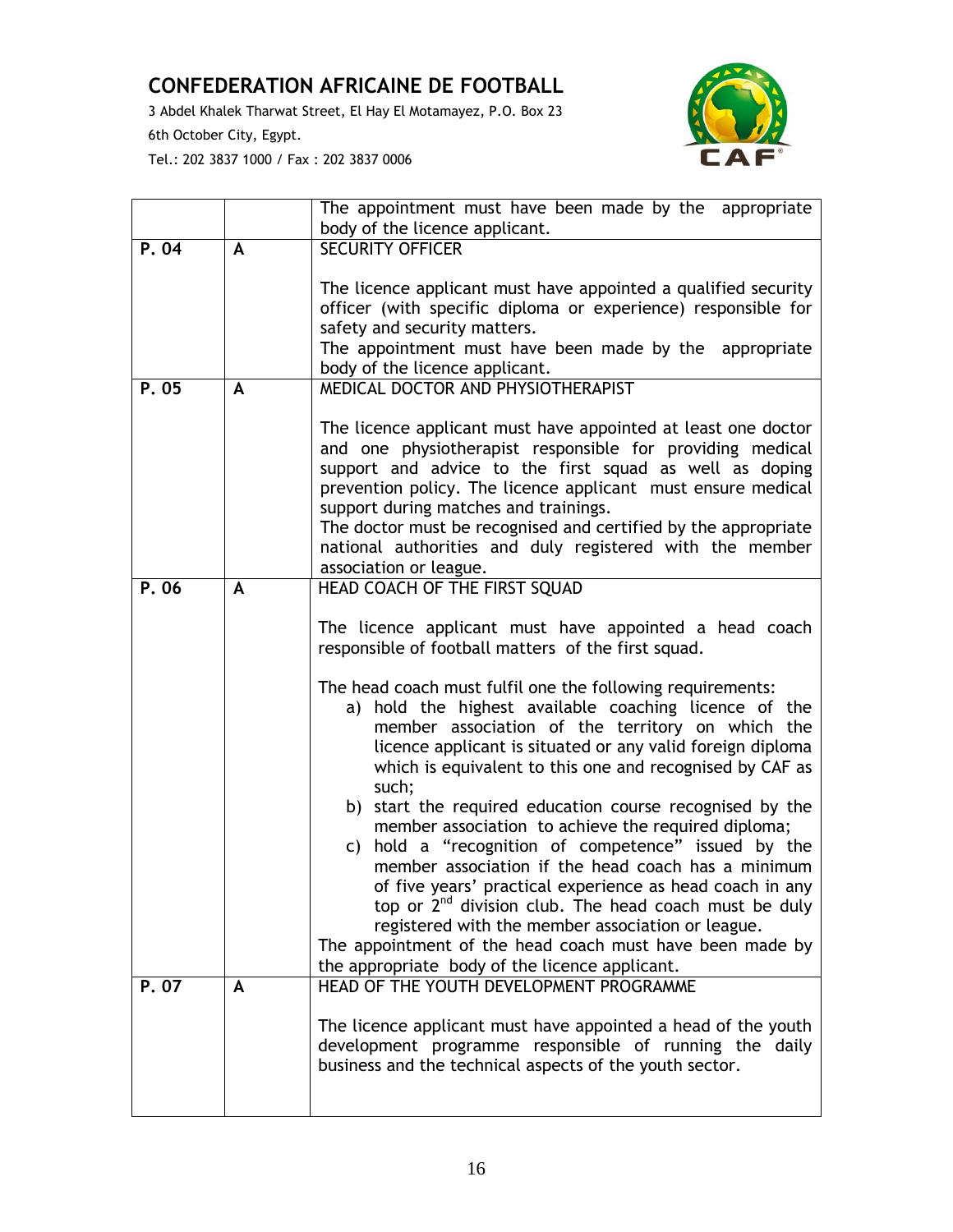3 Abdel Khalek Tharwat Street, El Hay El Motamayez, P.O. Box 23

6th October City, Egypt.



|      |   | The appointment must have been made by the appropriate                                                                                                                                                                                                                                                                                                                                                                                                                                                                                                                                                                                                                                                                                                                                                                                                                                                                                                             |
|------|---|--------------------------------------------------------------------------------------------------------------------------------------------------------------------------------------------------------------------------------------------------------------------------------------------------------------------------------------------------------------------------------------------------------------------------------------------------------------------------------------------------------------------------------------------------------------------------------------------------------------------------------------------------------------------------------------------------------------------------------------------------------------------------------------------------------------------------------------------------------------------------------------------------------------------------------------------------------------------|
|      |   | body of the licence applicant.                                                                                                                                                                                                                                                                                                                                                                                                                                                                                                                                                                                                                                                                                                                                                                                                                                                                                                                                     |
| P.04 | A | <b>SECURITY OFFICER</b>                                                                                                                                                                                                                                                                                                                                                                                                                                                                                                                                                                                                                                                                                                                                                                                                                                                                                                                                            |
|      |   | The licence applicant must have appointed a qualified security<br>officer (with specific diploma or experience) responsible for<br>safety and security matters.<br>The appointment must have been made by the appropriate                                                                                                                                                                                                                                                                                                                                                                                                                                                                                                                                                                                                                                                                                                                                          |
|      |   | body of the licence applicant.                                                                                                                                                                                                                                                                                                                                                                                                                                                                                                                                                                                                                                                                                                                                                                                                                                                                                                                                     |
| P.05 | A | MEDICAL DOCTOR AND PHYSIOTHERAPIST<br>The licence applicant must have appointed at least one doctor<br>and one physiotherapist responsible for providing medical                                                                                                                                                                                                                                                                                                                                                                                                                                                                                                                                                                                                                                                                                                                                                                                                   |
|      |   | support and advice to the first squad as well as doping<br>prevention policy. The licence applicant must ensure medical<br>support during matches and trainings.<br>The doctor must be recognised and certified by the appropriate<br>national authorities and duly registered with the member<br>association or league.                                                                                                                                                                                                                                                                                                                                                                                                                                                                                                                                                                                                                                           |
| P.06 | A | HEAD COACH OF THE FIRST SQUAD                                                                                                                                                                                                                                                                                                                                                                                                                                                                                                                                                                                                                                                                                                                                                                                                                                                                                                                                      |
|      |   | The licence applicant must have appointed a head coach<br>responsible of football matters of the first squad.<br>The head coach must fulfil one the following requirements:<br>a) hold the highest available coaching licence of the<br>member association of the territory on which the<br>licence applicant is situated or any valid foreign diploma<br>which is equivalent to this one and recognised by CAF as<br>such;<br>b) start the required education course recognised by the<br>member association to achieve the required diploma;<br>hold a "recognition of competence" issued by the<br>C)<br>member association if the head coach has a minimum<br>of five years' practical experience as head coach in any<br>top or 2 <sup>nd</sup> division club. The head coach must be duly<br>registered with the member association or league.<br>The appointment of the head coach must have been made by<br>the appropriate body of the licence applicant. |
| P.07 | A | HEAD OF THE YOUTH DEVELOPMENT PROGRAMME<br>The licence applicant must have appointed a head of the youth<br>development programme responsible of running the daily<br>business and the technical aspects of the youth sector.                                                                                                                                                                                                                                                                                                                                                                                                                                                                                                                                                                                                                                                                                                                                      |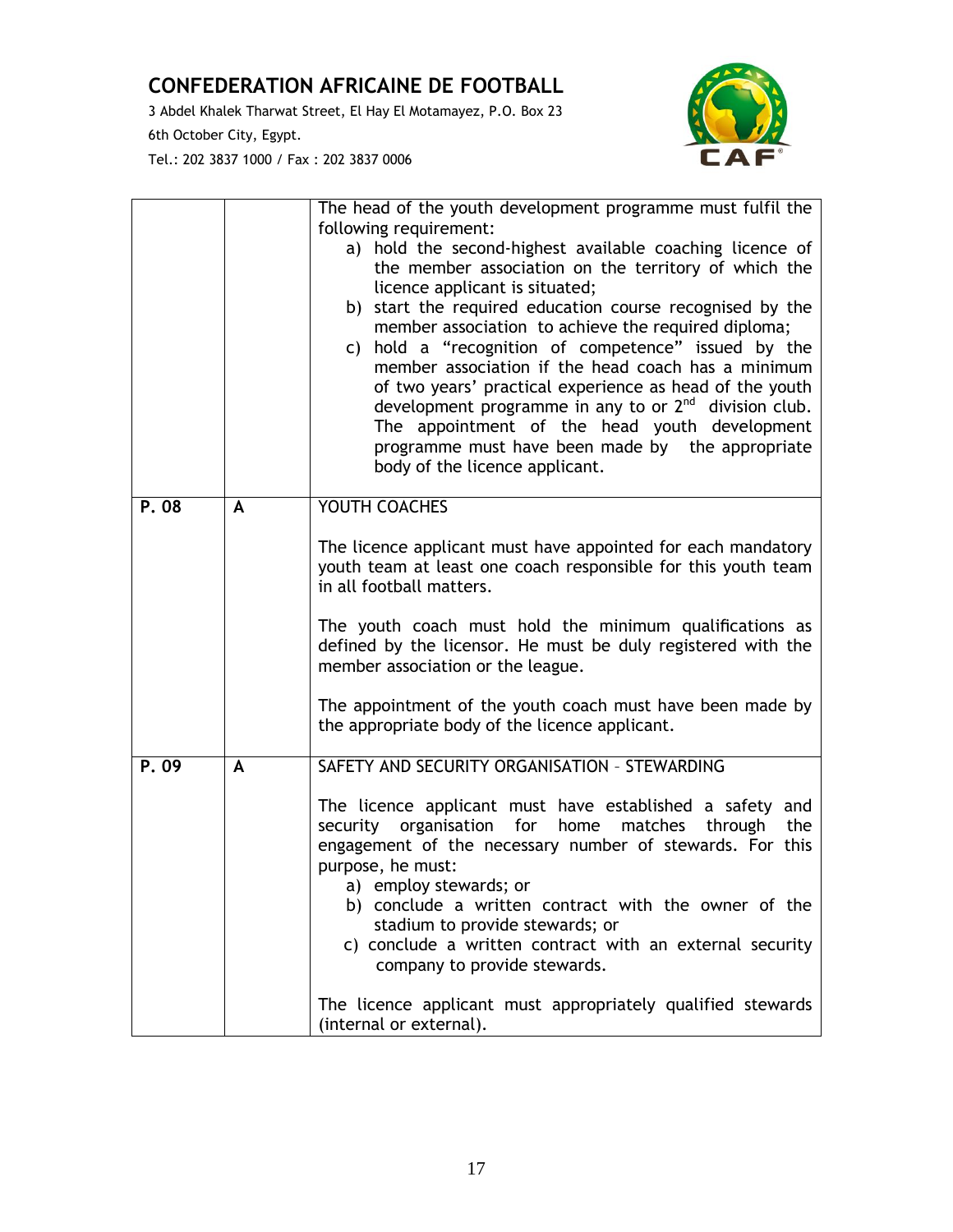3 Abdel Khalek Tharwat Street, El Hay El Motamayez, P.O. Box 23

6th October City, Egypt.



|      |   | The head of the youth development programme must fulfil the<br>following requirement:<br>a) hold the second-highest available coaching licence of<br>the member association on the territory of which the<br>licence applicant is situated;<br>b) start the required education course recognised by the<br>member association to achieve the required diploma;<br>hold a "recognition of competence" issued by the<br>C)<br>member association if the head coach has a minimum<br>of two years' practical experience as head of the youth<br>development programme in any to or 2 <sup>nd</sup> division club.<br>The appointment of the head youth development<br>programme must have been made by the appropriate<br>body of the licence applicant. |
|------|---|-------------------------------------------------------------------------------------------------------------------------------------------------------------------------------------------------------------------------------------------------------------------------------------------------------------------------------------------------------------------------------------------------------------------------------------------------------------------------------------------------------------------------------------------------------------------------------------------------------------------------------------------------------------------------------------------------------------------------------------------------------|
| P.08 | A | YOUTH COACHES                                                                                                                                                                                                                                                                                                                                                                                                                                                                                                                                                                                                                                                                                                                                         |
|      |   | The licence applicant must have appointed for each mandatory<br>youth team at least one coach responsible for this youth team<br>in all football matters.<br>The youth coach must hold the minimum qualifications as<br>defined by the licensor. He must be duly registered with the<br>member association or the league.<br>The appointment of the youth coach must have been made by<br>the appropriate body of the licence applicant.                                                                                                                                                                                                                                                                                                              |
| P.09 | A | SAFETY AND SECURITY ORGANISATION - STEWARDING                                                                                                                                                                                                                                                                                                                                                                                                                                                                                                                                                                                                                                                                                                         |
|      |   | The licence applicant must have established a safety and<br>security organisation for<br>home<br>matches<br>through<br>the<br>engagement of the necessary number of stewards. For this<br>purpose, he must:<br>a) employ stewards; or<br>b) conclude a written contract with the owner of the<br>stadium to provide stewards; or<br>c) conclude a written contract with an external security<br>company to provide stewards.                                                                                                                                                                                                                                                                                                                          |
|      |   | The licence applicant must appropriately qualified stewards<br>(internal or external).                                                                                                                                                                                                                                                                                                                                                                                                                                                                                                                                                                                                                                                                |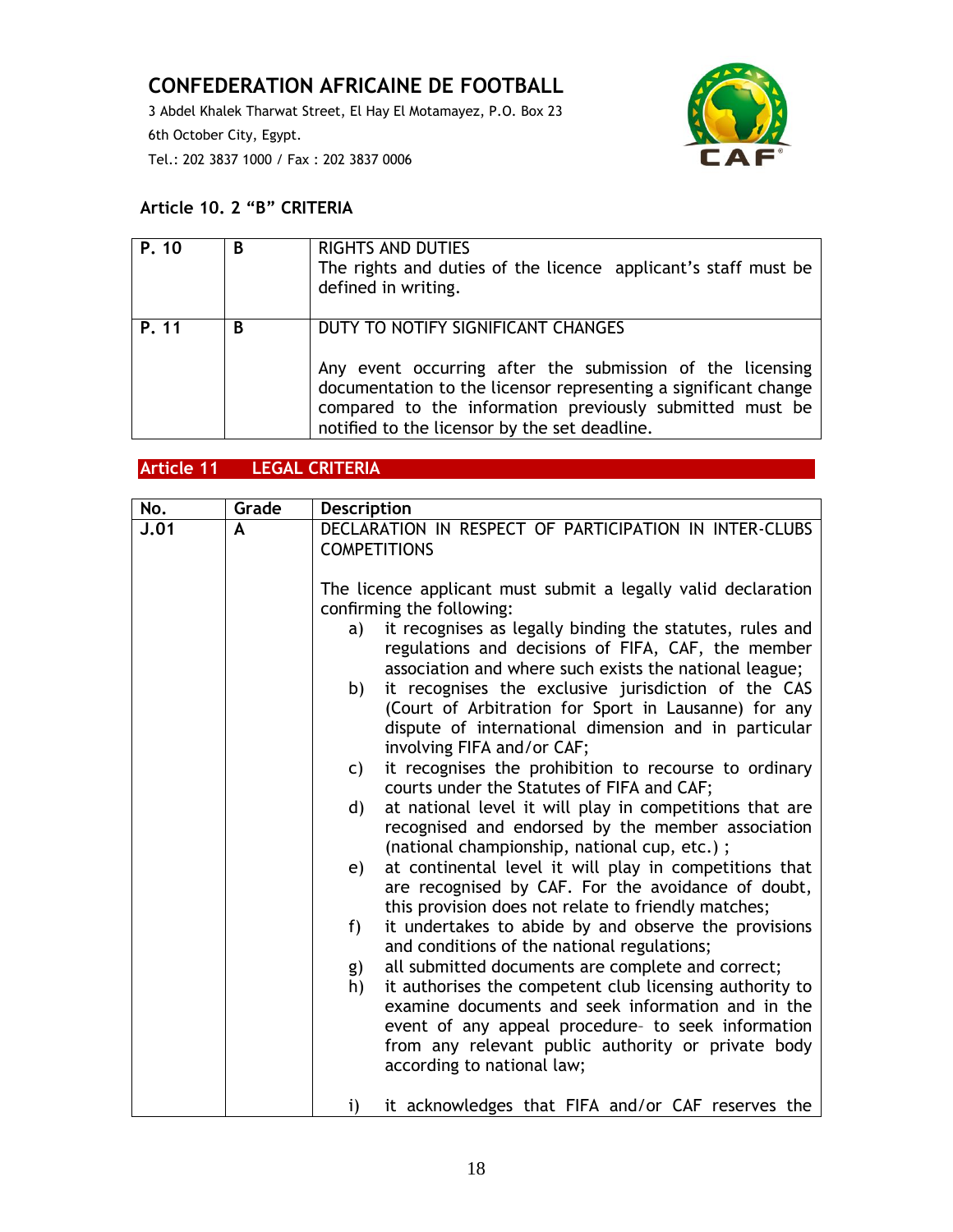3 Abdel Khalek Tharwat Street, El Hay El Motamayez, P.O. Box 23 6th October City, Egypt. Tel.: 202 3837 1000 / Fax : 202 3837 0006



## **Article 10. 2 "B" CRITERIA**

| P. 10 | B | <b>RIGHTS AND DUTIES</b><br>The rights and duties of the licence applicant's staff must be<br>defined in writing.                                                                                                                                                               |
|-------|---|---------------------------------------------------------------------------------------------------------------------------------------------------------------------------------------------------------------------------------------------------------------------------------|
| P. 11 | B | DUTY TO NOTIFY SIGNIFICANT CHANGES<br>Any event occurring after the submission of the licensing<br>documentation to the licensor representing a significant change<br>compared to the information previously submitted must be<br>notified to the licensor by the set deadline. |

## **Article 11 LEGAL CRITERIA**

| No.  | Grade | <b>Description</b>                                                                                                                                                                                                                                                                                                      |
|------|-------|-------------------------------------------------------------------------------------------------------------------------------------------------------------------------------------------------------------------------------------------------------------------------------------------------------------------------|
| J.01 | A     | DECLARATION IN RESPECT OF PARTICIPATION IN INTER-CLUBS<br><b>COMPETITIONS</b>                                                                                                                                                                                                                                           |
|      |       | The licence applicant must submit a legally valid declaration<br>confirming the following:                                                                                                                                                                                                                              |
|      |       | it recognises as legally binding the statutes, rules and<br>a)<br>regulations and decisions of FIFA, CAF, the member<br>association and where such exists the national league;                                                                                                                                          |
|      |       | it recognises the exclusive jurisdiction of the CAS<br>b)<br>(Court of Arbitration for Sport in Lausanne) for any<br>dispute of international dimension and in particular<br>involving FIFA and/or CAF;                                                                                                                 |
|      |       | it recognises the prohibition to recourse to ordinary<br>C)<br>courts under the Statutes of FIFA and CAF;                                                                                                                                                                                                               |
|      |       | at national level it will play in competitions that are<br>d)<br>recognised and endorsed by the member association<br>(national championship, national cup, etc.);                                                                                                                                                      |
|      |       | at continental level it will play in competitions that<br>e)<br>are recognised by CAF. For the avoidance of doubt,<br>this provision does not relate to friendly matches;                                                                                                                                               |
|      |       | it undertakes to abide by and observe the provisions<br>f)<br>and conditions of the national regulations;                                                                                                                                                                                                               |
|      |       | all submitted documents are complete and correct;<br>g)<br>it authorises the competent club licensing authority to<br>h)<br>examine documents and seek information and in the<br>event of any appeal procedure- to seek information<br>from any relevant public authority or private body<br>according to national law; |
|      |       | it acknowledges that FIFA and/or CAF reserves the<br>i)                                                                                                                                                                                                                                                                 |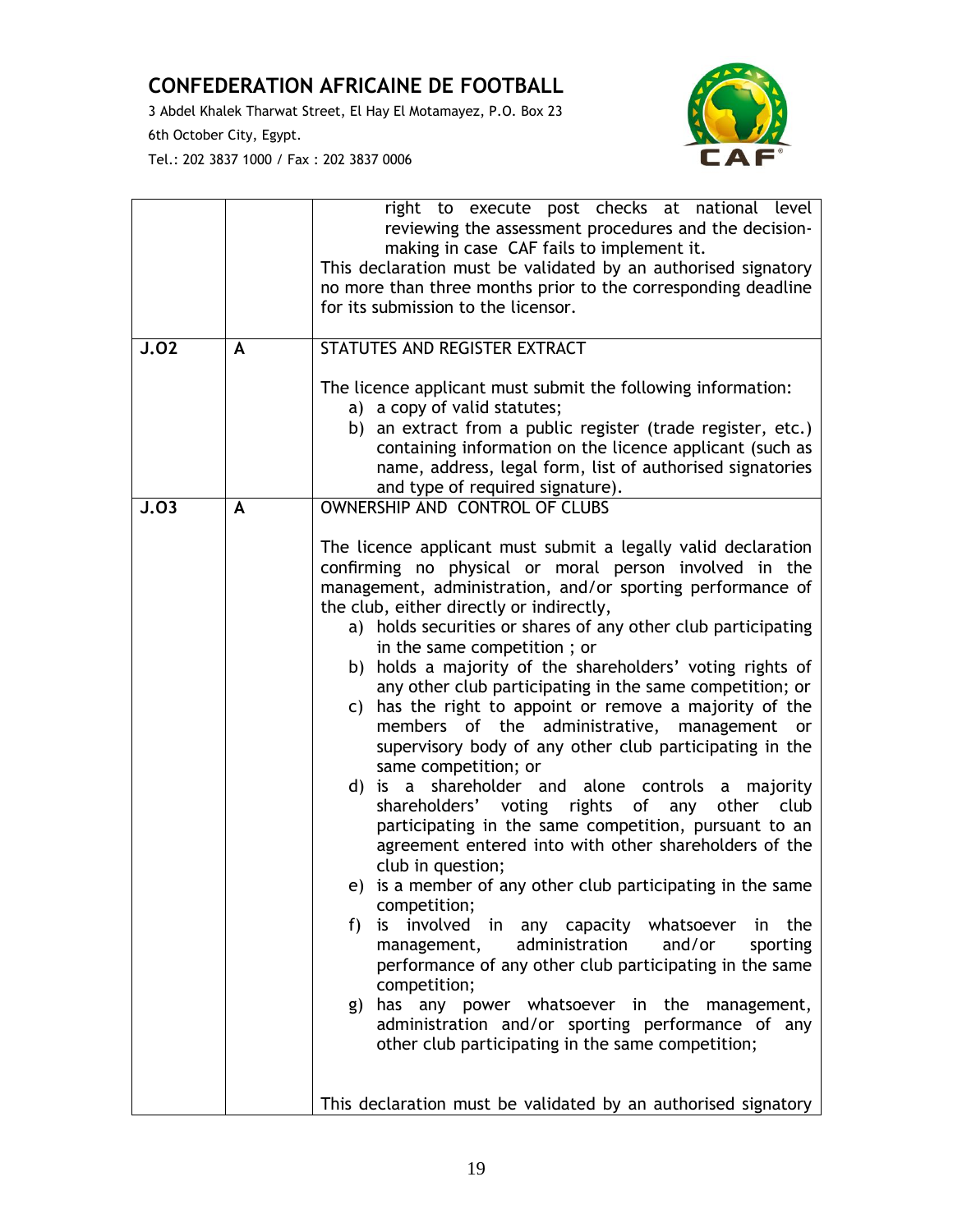3 Abdel Khalek Tharwat Street, El Hay El Motamayez, P.O. Box 23

6th October City, Egypt.



|      |   | right to execute post checks at national level<br>reviewing the assessment procedures and the decision-<br>making in case CAF fails to implement it.<br>This declaration must be validated by an authorised signatory<br>no more than three months prior to the corresponding deadline<br>for its submission to the licensor.                                                                                                                                                                                                                                                                                                                                                                                                                                                                                                                                                                                                                                                                                                                                                                                                                                                                                                                                                                                                               |
|------|---|---------------------------------------------------------------------------------------------------------------------------------------------------------------------------------------------------------------------------------------------------------------------------------------------------------------------------------------------------------------------------------------------------------------------------------------------------------------------------------------------------------------------------------------------------------------------------------------------------------------------------------------------------------------------------------------------------------------------------------------------------------------------------------------------------------------------------------------------------------------------------------------------------------------------------------------------------------------------------------------------------------------------------------------------------------------------------------------------------------------------------------------------------------------------------------------------------------------------------------------------------------------------------------------------------------------------------------------------|
| J.02 | A | STATUTES AND REGISTER EXTRACT                                                                                                                                                                                                                                                                                                                                                                                                                                                                                                                                                                                                                                                                                                                                                                                                                                                                                                                                                                                                                                                                                                                                                                                                                                                                                                               |
|      |   | The licence applicant must submit the following information:<br>a) a copy of valid statutes;<br>b) an extract from a public register (trade register, etc.)<br>containing information on the licence applicant (such as<br>name, address, legal form, list of authorised signatories<br>and type of required signature).                                                                                                                                                                                                                                                                                                                                                                                                                                                                                                                                                                                                                                                                                                                                                                                                                                                                                                                                                                                                                    |
| J.03 | A | OWNERSHIP AND CONTROL OF CLUBS                                                                                                                                                                                                                                                                                                                                                                                                                                                                                                                                                                                                                                                                                                                                                                                                                                                                                                                                                                                                                                                                                                                                                                                                                                                                                                              |
|      |   | The licence applicant must submit a legally valid declaration<br>confirming no physical or moral person involved in the<br>management, administration, and/or sporting performance of<br>the club, either directly or indirectly,<br>a) holds securities or shares of any other club participating<br>in the same competition; or<br>b) holds a majority of the shareholders' voting rights of<br>any other club participating in the same competition; or<br>has the right to appoint or remove a majority of the<br>C)<br>members of the administrative, management or<br>supervisory body of any other club participating in the<br>same competition; or<br>d) is a shareholder and alone controls a majority<br>shareholders' voting rights of any<br>other club<br>participating in the same competition, pursuant to an<br>agreement entered into with other shareholders of the<br>club in question;<br>e) is a member of any other club participating in the same<br>competition;<br>f) is involved in any capacity whatsoever in the<br>administration<br>and/or<br>sporting<br>management,<br>performance of any other club participating in the same<br>competition;<br>g) has any power whatsoever in the management,<br>administration and/or sporting performance of any<br>other club participating in the same competition; |
|      |   | This declaration must be validated by an authorised signatory                                                                                                                                                                                                                                                                                                                                                                                                                                                                                                                                                                                                                                                                                                                                                                                                                                                                                                                                                                                                                                                                                                                                                                                                                                                                               |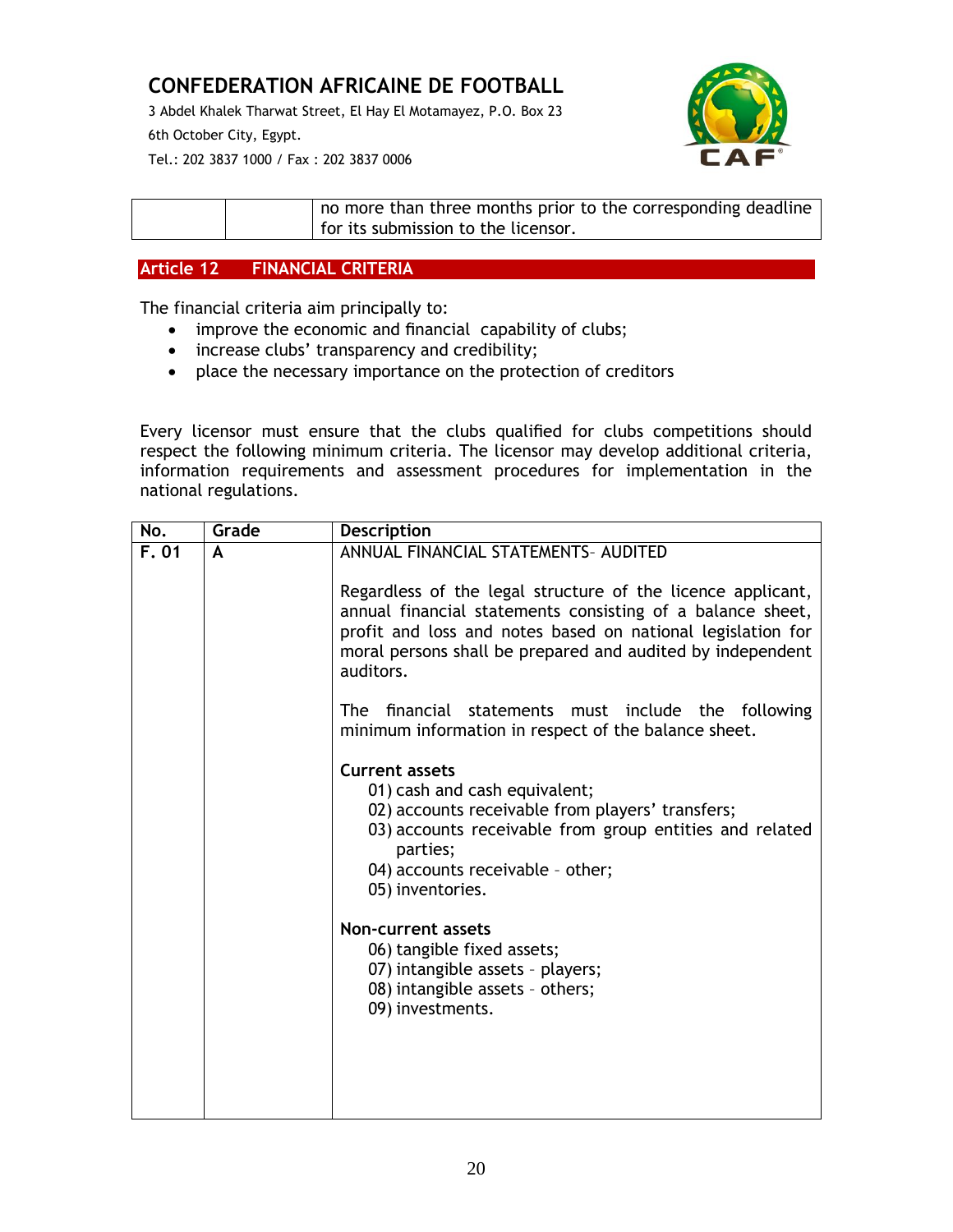3 Abdel Khalek Tharwat Street, El Hay El Motamayez, P.O. Box 23 6th October City, Egypt.



Tel.: 202 3837 1000 / Fax : 202 3837 0006

| no more than three months prior to the corresponding deadline<br>for its submission to the licensor. |
|------------------------------------------------------------------------------------------------------|
|------------------------------------------------------------------------------------------------------|

## **Article 12 FINANCIAL CRITERIA**

The financial criteria aim principally to:

- improve the economic and financial capability of clubs;
- increase clubs' transparency and credibility;
- place the necessary importance on the protection of creditors

Every licensor must ensure that the clubs qualified for clubs competitions should respect the following minimum criteria. The licensor may develop additional criteria, information requirements and assessment procedures for implementation in the national regulations.

| No.                 | Grade | <b>Description</b>                                                                                                                                                                                                                                                                                                                                                                                                                                                                                                                                                                                                                                                                                                                             |
|---------------------|-------|------------------------------------------------------------------------------------------------------------------------------------------------------------------------------------------------------------------------------------------------------------------------------------------------------------------------------------------------------------------------------------------------------------------------------------------------------------------------------------------------------------------------------------------------------------------------------------------------------------------------------------------------------------------------------------------------------------------------------------------------|
| $\overline{F}$ . 01 | A     | <b>ANNUAL FINANCIAL STATEMENTS- AUDITED</b><br>Regardless of the legal structure of the licence applicant,<br>annual financial statements consisting of a balance sheet,<br>profit and loss and notes based on national legislation for<br>moral persons shall be prepared and audited by independent<br>auditors.<br>financial statements must include the following<br>The I<br>minimum information in respect of the balance sheet.<br><b>Current assets</b><br>01) cash and cash equivalent;<br>02) accounts receivable from players' transfers;<br>03) accounts receivable from group entities and related<br>parties;<br>04) accounts receivable - other;<br>05) inventories.<br><b>Non-current assets</b><br>06) tangible fixed assets; |
|                     |       | 07) intangible assets - players;<br>08) intangible assets - others;<br>09) investments.                                                                                                                                                                                                                                                                                                                                                                                                                                                                                                                                                                                                                                                        |
|                     |       |                                                                                                                                                                                                                                                                                                                                                                                                                                                                                                                                                                                                                                                                                                                                                |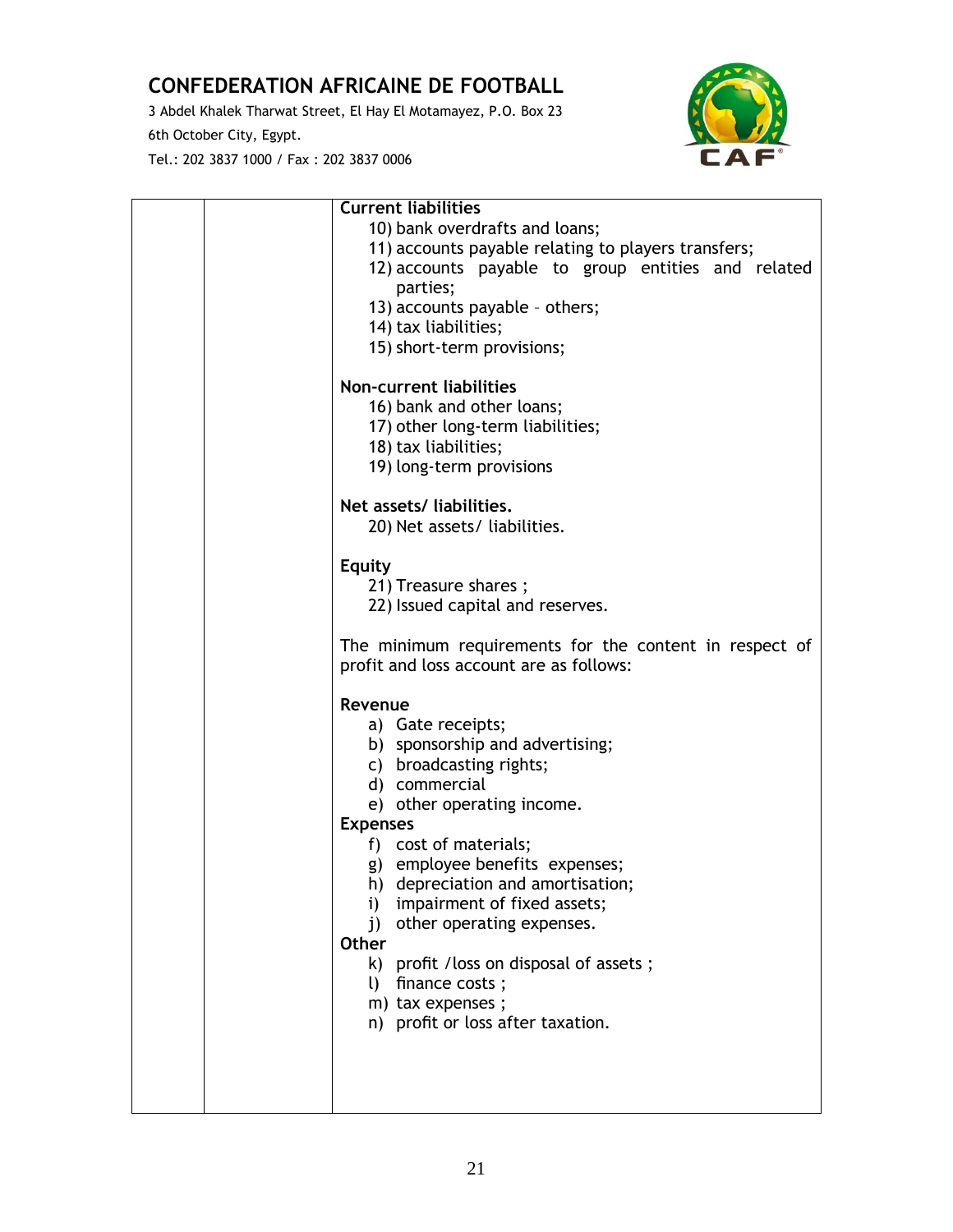3 Abdel Khalek Tharwat Street, El Hay El Motamayez, P.O. Box 23

6th October City, Egypt.



|  | <b>Current liabilities</b>                             |
|--|--------------------------------------------------------|
|  | 10) bank overdrafts and loans;                         |
|  | 11) accounts payable relating to players transfers;    |
|  | 12) accounts payable to group entities and related     |
|  | parties;                                               |
|  | 13) accounts payable - others;                         |
|  | 14) tax liabilities;                                   |
|  | 15) short-term provisions;                             |
|  | Non-current liabilities                                |
|  | 16) bank and other loans;                              |
|  | 17) other long-term liabilities;                       |
|  | 18) tax liabilities;                                   |
|  | 19) long-term provisions                               |
|  | Net assets/liabilities.                                |
|  | 20) Net assets/ liabilities.                           |
|  |                                                        |
|  | <b>Equity</b>                                          |
|  | 21) Treasure shares;                                   |
|  | 22) Issued capital and reserves.                       |
|  | The minimum requirements for the content in respect of |
|  | profit and loss account are as follows:                |
|  | Revenue                                                |
|  | a) Gate receipts;                                      |
|  | b) sponsorship and advertising;                        |
|  | c) broadcasting rights;                                |
|  | d) commercial                                          |
|  | e) other operating income.                             |
|  | <b>Expenses</b>                                        |
|  | f) cost of materials;                                  |
|  | g) employee benefits expenses;                         |
|  | h) depreciation and amortisation;                      |
|  | impairment of fixed assets;<br>$\mathbf{1}$            |
|  | j) other operating expenses.                           |
|  | <b>Other</b>                                           |
|  | k) profit / loss on disposal of assets;                |
|  | finance costs;<br>$\cup$                               |
|  | m) tax expenses;                                       |
|  | n) profit or loss after taxation.                      |
|  |                                                        |
|  |                                                        |
|  |                                                        |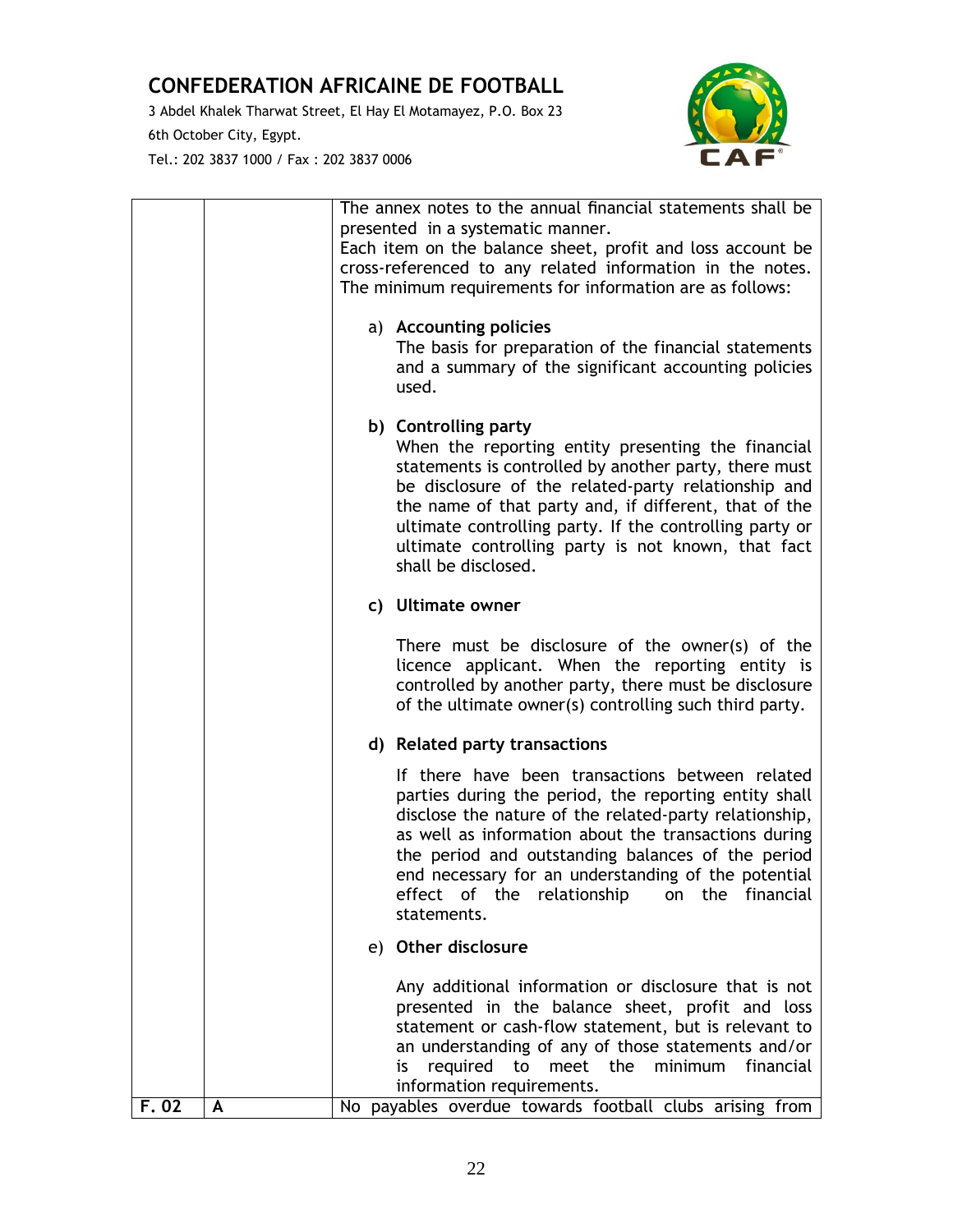3 Abdel Khalek Tharwat Street, El Hay El Motamayez, P.O. Box 23

6th October City, Egypt.



|       |   | The annex notes to the annual financial statements shall be<br>presented in a systematic manner.<br>Each item on the balance sheet, profit and loss account be<br>cross-referenced to any related information in the notes.<br>The minimum requirements for information are as follows:                                                                                                                 |
|-------|---|---------------------------------------------------------------------------------------------------------------------------------------------------------------------------------------------------------------------------------------------------------------------------------------------------------------------------------------------------------------------------------------------------------|
|       |   | a) Accounting policies<br>The basis for preparation of the financial statements<br>and a summary of the significant accounting policies<br>used.                                                                                                                                                                                                                                                        |
|       |   | b) Controlling party<br>When the reporting entity presenting the financial<br>statements is controlled by another party, there must<br>be disclosure of the related-party relationship and<br>the name of that party and, if different, that of the<br>ultimate controlling party. If the controlling party or<br>ultimate controlling party is not known, that fact<br>shall be disclosed.             |
|       |   | c) Ultimate owner                                                                                                                                                                                                                                                                                                                                                                                       |
|       |   | There must be disclosure of the owner(s) of the<br>licence applicant. When the reporting entity is<br>controlled by another party, there must be disclosure<br>of the ultimate owner(s) controlling such third party.                                                                                                                                                                                   |
|       |   | d) Related party transactions                                                                                                                                                                                                                                                                                                                                                                           |
|       |   | If there have been transactions between related<br>parties during the period, the reporting entity shall<br>disclose the nature of the related-party relationship,<br>as well as information about the transactions during<br>the period and outstanding balances of the period<br>end necessary for an understanding of the potential<br>effect of the relationship<br>on the financial<br>statements. |
|       |   | e) Other disclosure                                                                                                                                                                                                                                                                                                                                                                                     |
|       |   | Any additional information or disclosure that is not<br>presented in the balance sheet, profit and loss<br>statement or cash-flow statement, but is relevant to<br>an understanding of any of those statements and/or<br>required to meet the minimum financial<br>is<br>information requirements.                                                                                                      |
| F. 02 | A | No payables overdue towards football clubs arising from                                                                                                                                                                                                                                                                                                                                                 |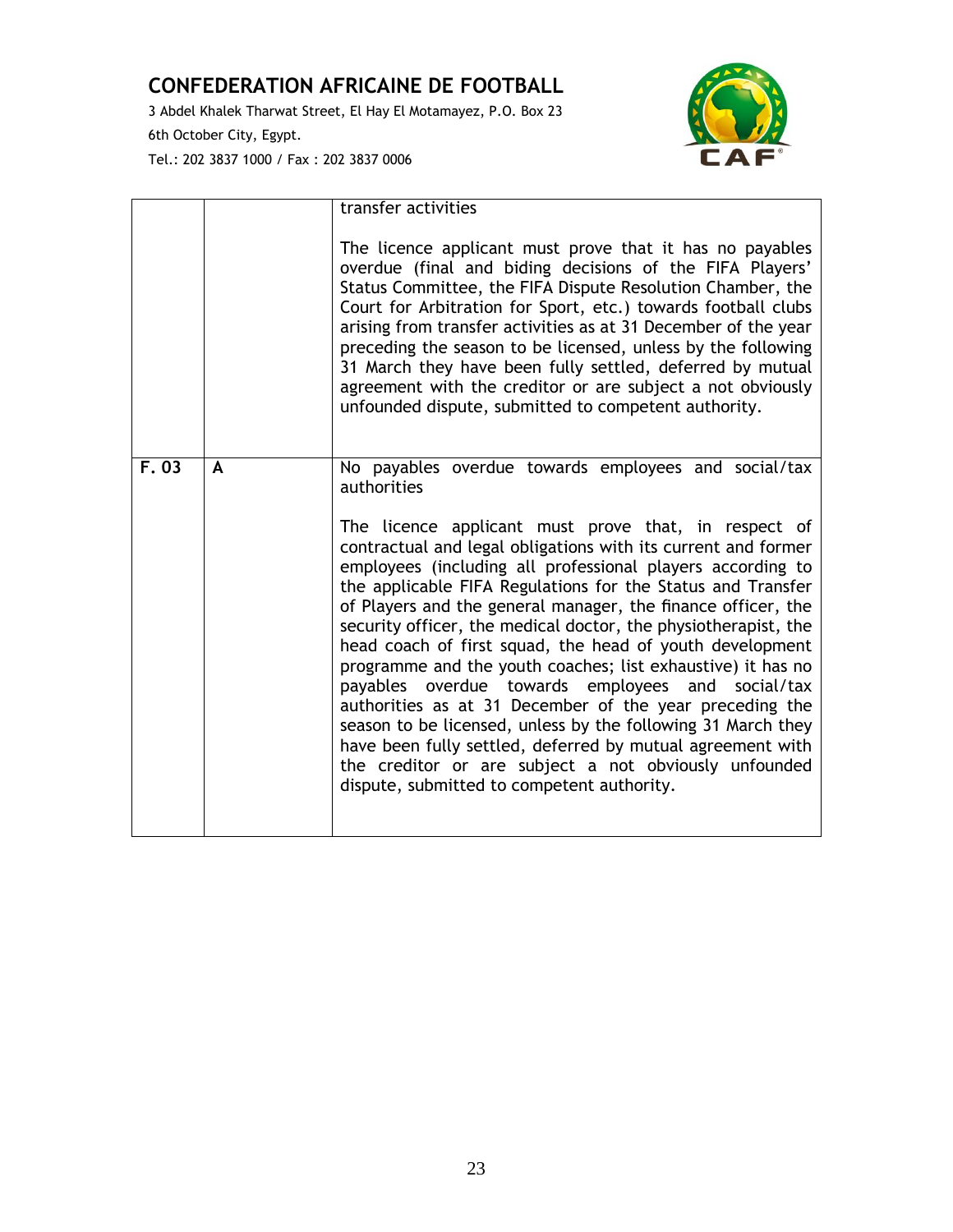3 Abdel Khalek Tharwat Street, El Hay El Motamayez, P.O. Box 23 6th October City, Egypt. Tel.: 202 3837 1000 / Fax : 202 3837 0006



|      |   | transfer activities                                                                                                                                                                                                                                                                                                                                                                                                                                                                                                                                                                                                                                                                                                                                                                                                                                                                                                                         |
|------|---|---------------------------------------------------------------------------------------------------------------------------------------------------------------------------------------------------------------------------------------------------------------------------------------------------------------------------------------------------------------------------------------------------------------------------------------------------------------------------------------------------------------------------------------------------------------------------------------------------------------------------------------------------------------------------------------------------------------------------------------------------------------------------------------------------------------------------------------------------------------------------------------------------------------------------------------------|
|      |   |                                                                                                                                                                                                                                                                                                                                                                                                                                                                                                                                                                                                                                                                                                                                                                                                                                                                                                                                             |
|      |   | The licence applicant must prove that it has no payables<br>overdue (final and biding decisions of the FIFA Players'<br>Status Committee, the FIFA Dispute Resolution Chamber, the<br>Court for Arbitration for Sport, etc.) towards football clubs<br>arising from transfer activities as at 31 December of the year<br>preceding the season to be licensed, unless by the following<br>31 March they have been fully settled, deferred by mutual<br>agreement with the creditor or are subject a not obviously<br>unfounded dispute, submitted to competent authority.                                                                                                                                                                                                                                                                                                                                                                    |
| F.03 | A | No payables overdue towards employees and social/tax<br>authorities<br>The licence applicant must prove that, in respect of<br>contractual and legal obligations with its current and former<br>employees (including all professional players according to<br>the applicable FIFA Regulations for the Status and Transfer<br>of Players and the general manager, the finance officer, the<br>security officer, the medical doctor, the physiotherapist, the<br>head coach of first squad, the head of youth development<br>programme and the youth coaches; list exhaustive) it has no<br>payables overdue towards employees and social/tax<br>authorities as at 31 December of the year preceding the<br>season to be licensed, unless by the following 31 March they<br>have been fully settled, deferred by mutual agreement with<br>the creditor or are subject a not obviously unfounded<br>dispute, submitted to competent authority. |